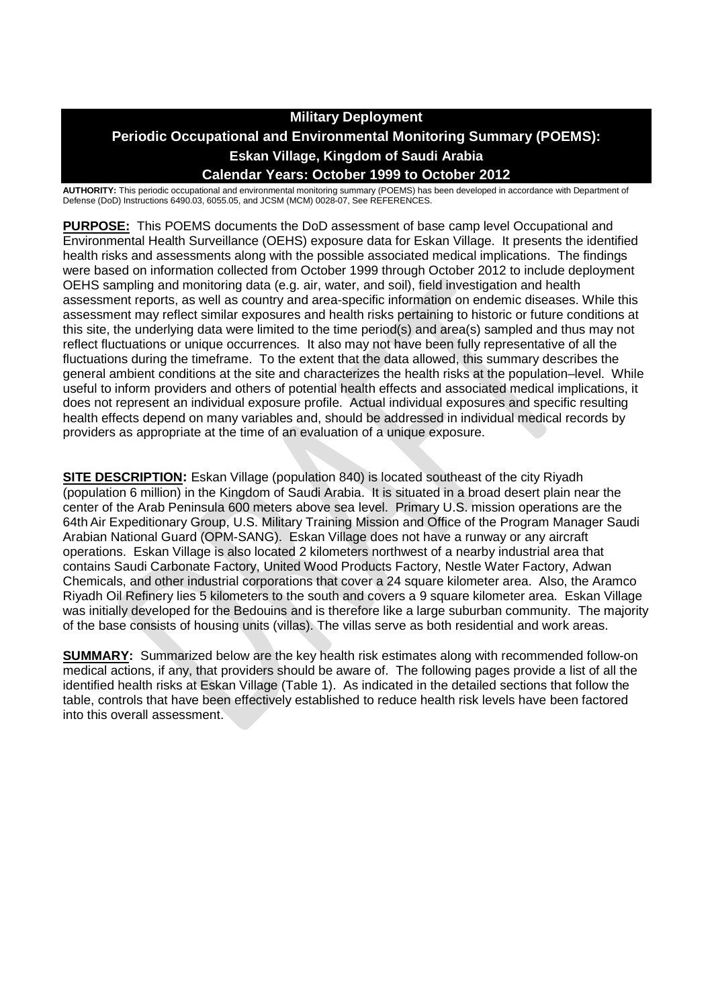# **Military Deployment**

# **Periodic Occupational and Environmental Monitoring Summary (POEMS): Eskan Village, Kingdom of Saudi Arabia**

# **Calendar Years: October 1999 to October 2012**

**AUTHORITY:** This periodic occupational and environmental monitoring summary (POEMS) has been developed in accordance with Department of Defense (DoD) Instructions 6490.03, 6055.05, and JCSM (MCM) 0028-07, See REFERENCES.

**PURPOSE:** This POEMS documents the DoD assessment of base camp level Occupational and Environmental Health Surveillance (OEHS) exposure data for Eskan Village. It presents the identified health risks and assessments along with the possible associated medical implications. The findings were based on information collected from October 1999 through October 2012 to include deployment OEHS sampling and monitoring data (e.g. air, water, and soil), field investigation and health assessment reports, as well as country and area-specific information on endemic diseases. While this assessment may reflect similar exposures and health risks pertaining to historic or future conditions at this site, the underlying data were limited to the time period(s) and area(s) sampled and thus may not reflect fluctuations or unique occurrences. It also may not have been fully representative of all the fluctuations during the timeframe. To the extent that the data allowed, this summary describes the general ambient conditions at the site and characterizes the health risks at the population–level. While useful to inform providers and others of potential health effects and associated medical implications, it does not represent an individual exposure profile. Actual individual exposures and specific resulting health effects depend on many variables and, should be addressed in individual medical records by providers as appropriate at the time of an evaluation of a unique exposure.

**SITE DESCRIPTION:** Eskan Village (population 840) is located southeast of the city Riyadh (population 6 million) in the Kingdom of Saudi Arabia. It is situated in a broad desert plain near the center of the Arab Peninsula 600 meters above sea level. Primary U.S. mission operations are the 64th Air Expeditionary Group, U.S. Military Training Mission and Office of the Program Manager Saudi Arabian National Guard (OPM-SANG). Eskan Village does not have a runway or any aircraft operations. Eskan Village is also located 2 kilometers northwest of a nearby industrial area that contains Saudi Carbonate Factory, United Wood Products Factory, Nestle Water Factory, Adwan Chemicals, and other industrial corporations that cover a 24 square kilometer area. Also, the Aramco Riyadh Oil Refinery lies 5 kilometers to the south and covers a 9 square kilometer area. Eskan Village was initially developed for the Bedouins and is therefore like a large suburban community. The majority of the base consists of housing units (villas). The villas serve as both residential and work areas.

**SUMMARY:** Summarized below are the key health risk estimates along with recommended follow-on medical actions, if any, that providers should be aware of. The following pages provide a list of all the identified health risks at Eskan Village (Table 1). As indicated in the detailed sections that follow the table, controls that have been effectively established to reduce health risk levels have been factored into this overall assessment.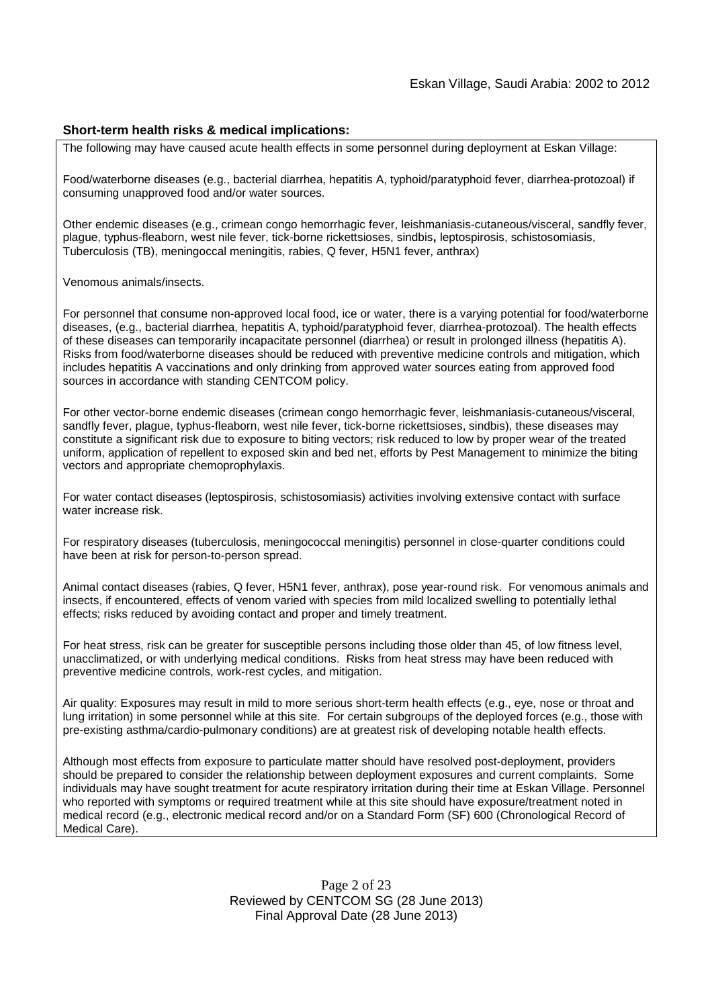#### **Short-term health risks & medical implications:**

The following may have caused acute health effects in some personnel during deployment at Eskan Village:

Food/waterborne diseases (e.g., bacterial diarrhea, hepatitis A, typhoid/paratyphoid fever, diarrhea-protozoal) if consuming unapproved food and/or water sources.

Other endemic diseases (e.g., crimean congo hemorrhagic fever, leishmaniasis-cutaneous/visceral, sandfly fever, plague, typhus-fleaborn, west nile fever, tick-borne rickettsioses, sindbis**,** leptospirosis, schistosomiasis, Tuberculosis (TB), meningoccal meningitis, rabies, Q fever, H5N1 fever, anthrax)

Venomous animals/insects.

For personnel that consume non-approved local food, ice or water, there is a varying potential for food/waterborne diseases, (e.g., bacterial diarrhea, hepatitis A, typhoid/paratyphoid fever, diarrhea-protozoal). The health effects of these diseases can temporarily incapacitate personnel (diarrhea) or result in prolonged illness (hepatitis A). Risks from food/waterborne diseases should be reduced with preventive medicine controls and mitigation, which includes hepatitis A vaccinations and only drinking from approved water sources eating from approved food sources in accordance with standing CENTCOM policy.

For other vector-borne endemic diseases (crimean congo hemorrhagic fever, leishmaniasis-cutaneous/visceral, sandfly fever, plague, typhus-fleaborn, west nile fever, tick-borne rickettsioses, sindbis), these diseases may constitute a significant risk due to exposure to biting vectors; risk reduced to low by proper wear of the treated uniform, application of repellent to exposed skin and bed net, efforts by Pest Management to minimize the biting vectors and appropriate chemoprophylaxis.

For water contact diseases (leptospirosis, schistosomiasis) activities involving extensive contact with surface water increase risk.

For respiratory diseases (tuberculosis, meningococcal meningitis) personnel in close-quarter conditions could have been at risk for person-to-person spread.

Animal contact diseases (rabies, Q fever, H5N1 fever, anthrax), pose year-round risk. For venomous animals and insects, if encountered, effects of venom varied with species from mild localized swelling to potentially lethal effects; risks reduced by avoiding contact and proper and timely treatment.

For heat stress, risk can be greater for susceptible persons including those older than 45, of low fitness level, unacclimatized, or with underlying medical conditions. Risks from heat stress may have been reduced with preventive medicine controls, work-rest cycles, and mitigation.

Air quality: Exposures may result in mild to more serious short-term health effects (e.g., eye, nose or throat and lung irritation) in some personnel while at this site. For certain subgroups of the deployed forces (e.g., those with pre-existing asthma/cardio-pulmonary conditions) are at greatest risk of developing notable health effects.

Although most effects from exposure to particulate matter should have resolved post-deployment, providers should be prepared to consider the relationship between deployment exposures and current complaints. Some individuals may have sought treatment for acute respiratory irritation during their time at Eskan Village. Personnel who reported with symptoms or required treatment while at this site should have exposure/treatment noted in medical record (e.g., electronic medical record and/or on a Standard Form (SF) 600 (Chronological Record of Medical Care).

> Page 2 of 23 Reviewed by CENTCOM SG (28 June 2013) Final Approval Date (28 June 2013)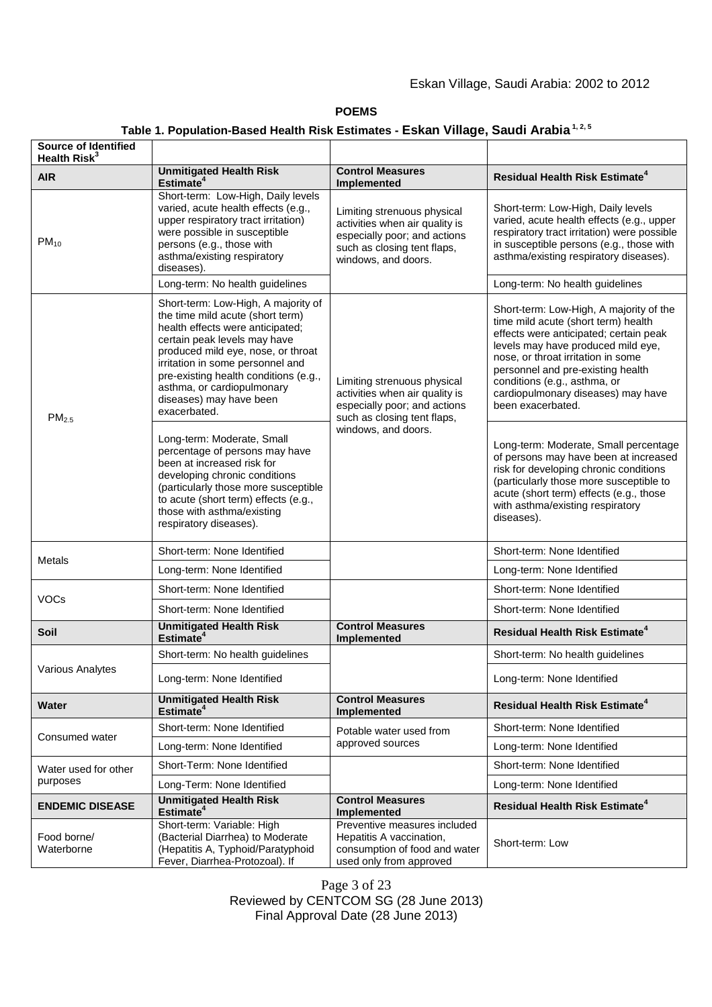# Eskan Village, Saudi Arabia: 2002 to 2012

#### **POEMS**

# **Table 1. Population-Based Health Risk Estimates - Eskan Village, Saudi Arabia 1, 2, 5**

| Source of Identified<br>Health Risk <sup>3</sup> |                                                                                                                                                                                                                                                                                                                                         |                                                                                                                                                     |                                                                                                                                                                                                                                                                                                                                      |
|--------------------------------------------------|-----------------------------------------------------------------------------------------------------------------------------------------------------------------------------------------------------------------------------------------------------------------------------------------------------------------------------------------|-----------------------------------------------------------------------------------------------------------------------------------------------------|--------------------------------------------------------------------------------------------------------------------------------------------------------------------------------------------------------------------------------------------------------------------------------------------------------------------------------------|
| <b>AIR</b>                                       | <b>Unmitigated Health Risk</b><br>Estimate <sup>4</sup>                                                                                                                                                                                                                                                                                 | <b>Control Measures</b><br>Implemented                                                                                                              | <b>Residual Health Risk Estimate<sup>4</sup></b>                                                                                                                                                                                                                                                                                     |
| $PM_{10}$                                        | Short-term: Low-High, Daily levels<br>varied, acute health effects (e.g.,<br>upper respiratory tract irritation)<br>were possible in susceptible<br>persons (e.g., those with<br>asthma/existing respiratory<br>diseases).                                                                                                              | Limiting strenuous physical<br>activities when air quality is<br>especially poor; and actions<br>such as closing tent flaps,<br>windows, and doors. |                                                                                                                                                                                                                                                                                                                                      |
|                                                  | Long-term: No health guidelines                                                                                                                                                                                                                                                                                                         |                                                                                                                                                     | Long-term: No health guidelines                                                                                                                                                                                                                                                                                                      |
| PM <sub>2.5</sub>                                | Short-term: Low-High, A majority of<br>the time mild acute (short term)<br>health effects were anticipated;<br>certain peak levels may have<br>produced mild eye, nose, or throat<br>irritation in some personnel and<br>pre-existing health conditions (e.g.,<br>asthma, or cardiopulmonary<br>diseases) may have been<br>exacerbated. | Limiting strenuous physical<br>activities when air quality is<br>especially poor; and actions<br>such as closing tent flaps,                        | Short-term: Low-High, A majority of the<br>time mild acute (short term) health<br>effects were anticipated; certain peak<br>levels may have produced mild eye,<br>nose, or throat irritation in some<br>personnel and pre-existing health<br>conditions (e.g., asthma, or<br>cardiopulmonary diseases) may have<br>been exacerbated. |
|                                                  | Long-term: Moderate, Small<br>percentage of persons may have<br>been at increased risk for<br>developing chronic conditions<br>(particularly those more susceptible<br>to acute (short term) effects (e.g.,<br>those with asthma/existing<br>respiratory diseases).                                                                     | windows, and doors.                                                                                                                                 | Long-term: Moderate, Small percentage<br>of persons may have been at increased<br>risk for developing chronic conditions<br>(particularly those more susceptible to<br>acute (short term) effects (e.g., those<br>with asthma/existing respiratory<br>diseases).                                                                     |
| <b>Metals</b>                                    | Short-term: None Identified                                                                                                                                                                                                                                                                                                             |                                                                                                                                                     | Short-term: None Identified                                                                                                                                                                                                                                                                                                          |
|                                                  | Long-term: None Identified                                                                                                                                                                                                                                                                                                              |                                                                                                                                                     | Long-term: None Identified                                                                                                                                                                                                                                                                                                           |
| <b>VOCs</b>                                      | Short-term: None Identified                                                                                                                                                                                                                                                                                                             |                                                                                                                                                     | Short-term: None Identified                                                                                                                                                                                                                                                                                                          |
|                                                  | Short-term: None Identified                                                                                                                                                                                                                                                                                                             |                                                                                                                                                     | Short-term: None Identified                                                                                                                                                                                                                                                                                                          |
| <b>Soil</b>                                      | <b>Unmitigated Health Risk</b><br>Estimate <sup>4</sup>                                                                                                                                                                                                                                                                                 | <b>Control Measures</b><br>Implemented                                                                                                              | <b>Residual Health Risk Estimate<sup>4</sup></b>                                                                                                                                                                                                                                                                                     |
| <b>Various Analytes</b>                          | Short-term: No health guidelines                                                                                                                                                                                                                                                                                                        |                                                                                                                                                     | Short-term: No health guidelines                                                                                                                                                                                                                                                                                                     |
|                                                  | Long-term: None Identified                                                                                                                                                                                                                                                                                                              |                                                                                                                                                     | Long-term: None Identified                                                                                                                                                                                                                                                                                                           |
| Water                                            | <b>Unmitigated Health Risk</b><br>Estimate <sup>4</sup>                                                                                                                                                                                                                                                                                 | <b>Control Measures</b><br><b>Implemented</b>                                                                                                       | <b>Residual Health Risk Estimate<sup>4</sup></b>                                                                                                                                                                                                                                                                                     |
| Consumed water                                   | Short-term: None Identified                                                                                                                                                                                                                                                                                                             | Potable water used from                                                                                                                             | Short-term: None Identified                                                                                                                                                                                                                                                                                                          |
|                                                  | Long-term: None Identified                                                                                                                                                                                                                                                                                                              | approved sources                                                                                                                                    | Long-term: None Identified                                                                                                                                                                                                                                                                                                           |
| Water used for other<br>purposes                 | Short-Term: None Identified                                                                                                                                                                                                                                                                                                             |                                                                                                                                                     | Short-term: None Identified                                                                                                                                                                                                                                                                                                          |
|                                                  | Long-Term: None Identified                                                                                                                                                                                                                                                                                                              |                                                                                                                                                     | Long-term: None Identified                                                                                                                                                                                                                                                                                                           |
| <b>ENDEMIC DISEASE</b>                           | <b>Unmitigated Health Risk</b><br>Estimate <sup>4</sup>                                                                                                                                                                                                                                                                                 | <b>Control Measures</b><br><b>Implemented</b>                                                                                                       | <b>Residual Health Risk Estimate<sup>4</sup></b>                                                                                                                                                                                                                                                                                     |
| Food borne/<br>Waterborne                        | Short-term: Variable: High<br>(Bacterial Diarrhea) to Moderate<br>(Hepatitis A, Typhoid/Paratyphoid<br>Fever, Diarrhea-Protozoal). If                                                                                                                                                                                                   | Preventive measures included<br>Hepatitis A vaccination,<br>consumption of food and water<br>used only from approved                                | Short-term: Low                                                                                                                                                                                                                                                                                                                      |

Page 3 of 23 Reviewed by CENTCOM SG (28 June 2013) Final Approval Date (28 June 2013)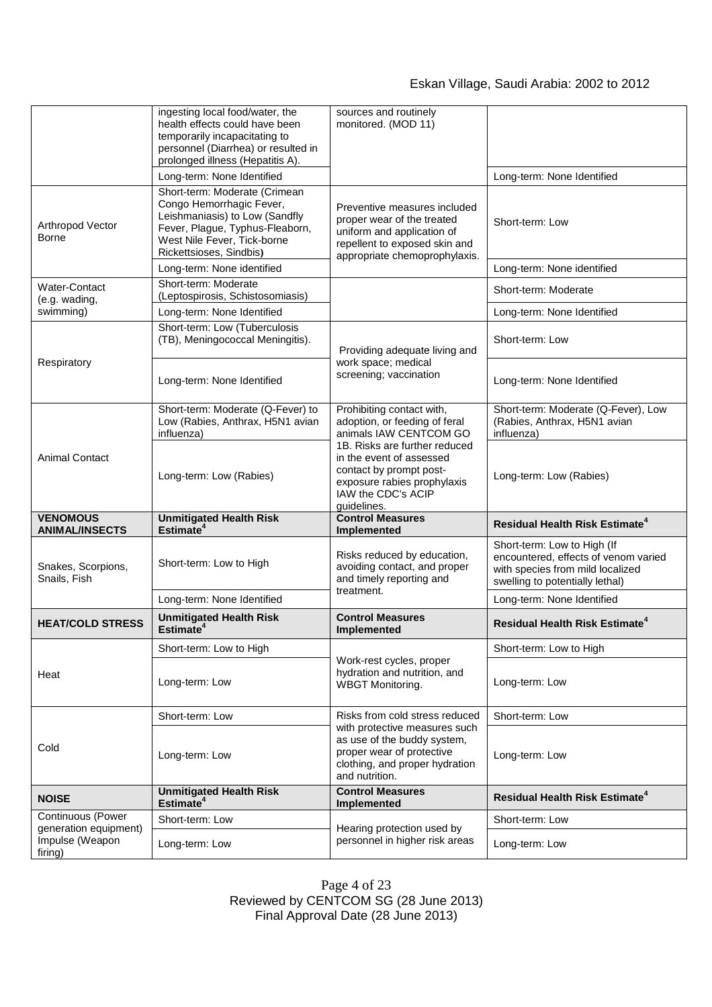# Eskan Village, Saudi Arabia: 2002 to 2012

|                                            | ingesting local food/water, the<br>health effects could have been                                                                                                                        | sources and routinely<br>monitored. (MOD 11)                                                                                                               |                                                                                                                                            |
|--------------------------------------------|------------------------------------------------------------------------------------------------------------------------------------------------------------------------------------------|------------------------------------------------------------------------------------------------------------------------------------------------------------|--------------------------------------------------------------------------------------------------------------------------------------------|
|                                            | temporarily incapacitating to<br>personnel (Diarrhea) or resulted in<br>prolonged illness (Hepatitis A).                                                                                 |                                                                                                                                                            |                                                                                                                                            |
|                                            | Long-term: None Identified                                                                                                                                                               |                                                                                                                                                            | Long-term: None Identified                                                                                                                 |
| Arthropod Vector<br>Borne                  | Short-term: Moderate (Crimean<br>Congo Hemorrhagic Fever,<br>Leishmaniasis) to Low (Sandfly<br>Fever, Plague, Typhus-Fleaborn,<br>West Nile Fever, Tick-borne<br>Rickettsioses, Sindbis) | Preventive measures included<br>proper wear of the treated<br>uniform and application of<br>repellent to exposed skin and<br>appropriate chemoprophylaxis. | Short-term: Low                                                                                                                            |
|                                            | Long-term: None identified                                                                                                                                                               |                                                                                                                                                            | Long-term: None identified                                                                                                                 |
| <b>Water-Contact</b><br>(e.g. wading,      | Short-term: Moderate<br>(Leptospirosis, Schistosomiasis)                                                                                                                                 |                                                                                                                                                            | Short-term: Moderate                                                                                                                       |
| swimming)                                  | Long-term: None Identified                                                                                                                                                               |                                                                                                                                                            | Long-term: None Identified                                                                                                                 |
| Respiratory<br><b>Animal Contact</b>       | Short-term: Low (Tuberculosis<br>(TB), Meningococcal Meningitis).                                                                                                                        | Providing adequate living and                                                                                                                              | Short-term: Low                                                                                                                            |
|                                            | Long-term: None Identified                                                                                                                                                               | work space; medical<br>screening; vaccination                                                                                                              | Long-term: None Identified                                                                                                                 |
|                                            | Short-term: Moderate (Q-Fever) to<br>Low (Rabies, Anthrax, H5N1 avian<br>influenza)                                                                                                      | Prohibiting contact with,<br>adoption, or feeding of feral<br>animals IAW CENTCOM GO                                                                       | Short-term: Moderate (Q-Fever), Low<br>(Rabies, Anthrax, H5N1 avian<br>influenza)                                                          |
|                                            | Long-term: Low (Rabies)                                                                                                                                                                  | 1B. Risks are further reduced<br>in the event of assessed<br>contact by prompt post-                                                                       | Long-term: Low (Rabies)                                                                                                                    |
|                                            |                                                                                                                                                                                          | exposure rabies prophylaxis<br>IAW the CDC's ACIP<br>quidelines.                                                                                           |                                                                                                                                            |
| <b>VENOMOUS</b><br><b>ANIMAL/INSECTS</b>   | <b>Unmitigated Health Risk</b>                                                                                                                                                           | <b>Control Measures</b>                                                                                                                                    | <b>Residual Health Risk Estimate<sup>4</sup></b>                                                                                           |
| Snakes, Scorpions,<br>Snails, Fish         | Estimate <sup>4</sup><br>Short-term: Low to High                                                                                                                                         | Implemented<br>Risks reduced by education,<br>avoiding contact, and proper<br>and timely reporting and                                                     | Short-term: Low to High (If<br>encountered, effects of venom varied<br>with species from mild localized<br>swelling to potentially lethal) |
|                                            | Long-term: None Identified                                                                                                                                                               | treatment.                                                                                                                                                 | Long-term: None Identified                                                                                                                 |
| <b>HEAT/COLD STRESS</b>                    | <b>Unmitigated Health Risk</b><br>Estimate <sup>4</sup>                                                                                                                                  | <b>Control Measures</b><br>Implemented                                                                                                                     | Residual Health Risk Estimate <sup>4</sup>                                                                                                 |
|                                            | Short-term: Low to High                                                                                                                                                                  |                                                                                                                                                            | Short-term: Low to High                                                                                                                    |
| Heat                                       | Long-term: Low                                                                                                                                                                           | Work-rest cycles, proper<br>hydration and nutrition, and<br><b>WBGT Monitoring.</b>                                                                        | Long-term: Low                                                                                                                             |
|                                            | Short-term: Low                                                                                                                                                                          | Risks from cold stress reduced                                                                                                                             | Short-term: Low                                                                                                                            |
| Cold                                       | Long-term: Low                                                                                                                                                                           | with protective measures such<br>as use of the buddy system,<br>proper wear of protective<br>clothing, and proper hydration<br>and nutrition.              | Long-term: Low                                                                                                                             |
| <b>NOISE</b>                               | <b>Unmitigated Health Risk</b>                                                                                                                                                           | <b>Control Measures</b>                                                                                                                                    | <b>Residual Health Risk Estimate<sup>4</sup></b>                                                                                           |
| Continuous (Power<br>generation equipment) | Estimate <sup>4</sup><br>Short-term: Low                                                                                                                                                 | Implemented<br>Hearing protection used by                                                                                                                  | Short-term: Low                                                                                                                            |

Page 4 of 23 Reviewed by CENTCOM SG (28 June 2013) Final Approval Date (28 June 2013)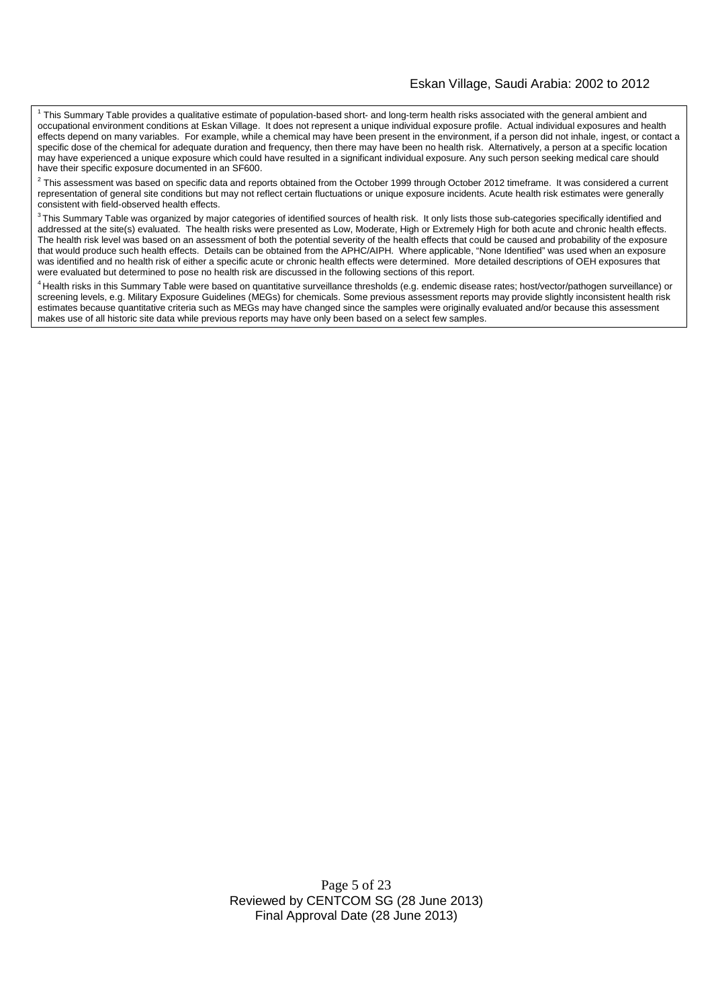#### Eskan Village, Saudi Arabia: 2002 to 2012

<sup>1</sup> This Summary Table provides a qualitative estimate of population-based short- and long-term health risks associated with the general ambient and occupational environment conditions at Eskan Village. It does not represent a unique individual exposure profile. Actual individual exposures and health effects depend on many variables. For example, while a chemical may have been present in the environment, if a person did not inhale, ingest, or contact a specific dose of the chemical for adequate duration and frequency, then there may have been no health risk. Alternatively, a person at a specific location may have experienced a unique exposure which could have resulted in a significant individual exposure. Any such person seeking medical care should have their specific exposure documented in an SF600.

 $^2$  This assessment was based on specific data and reports obtained from the October 1999 through October 2012 timeframe. It was considered a current representation of general site conditions but may not reflect certain fluctuations or unique exposure incidents. Acute health risk estimates were generally consistent with field-observed health effects.

 $3$ This Summary Table was organized by major categories of identified sources of health risk. It only lists those sub-categories specifically identified and addressed at the site(s) evaluated. The health risks were presented as Low, Moderate, High or Extremely High for both acute and chronic health effects. The health risk level was based on an assessment of both the potential severity of the health effects that could be caused and probability of the exposure that would produce such health effects. Details can be obtained from the APHC/AIPH. Where applicable, "None Identified" was used when an exposure was identified and no health risk of either a specific acute or chronic health effects were determined. More detailed descriptions of OEH exposures that were evaluated but determined to pose no health risk are discussed in the following sections of this report.

<sup>4</sup> Health risks in this Summary Table were based on quantitative surveillance thresholds (e.g. endemic disease rates; host/vector/pathogen surveillance) or screening levels, e.g. Military Exposure Guidelines (MEGs) for chemicals. Some previous assessment reports may provide slightly inconsistent health risk estimates because quantitative criteria such as MEGs may have changed since the samples were originally evaluated and/or because this assessment makes use of all historic site data while previous reports may have only been based on a select few samples.

> Page 5 of 23 Reviewed by CENTCOM SG (28 June 2013) Final Approval Date (28 June 2013)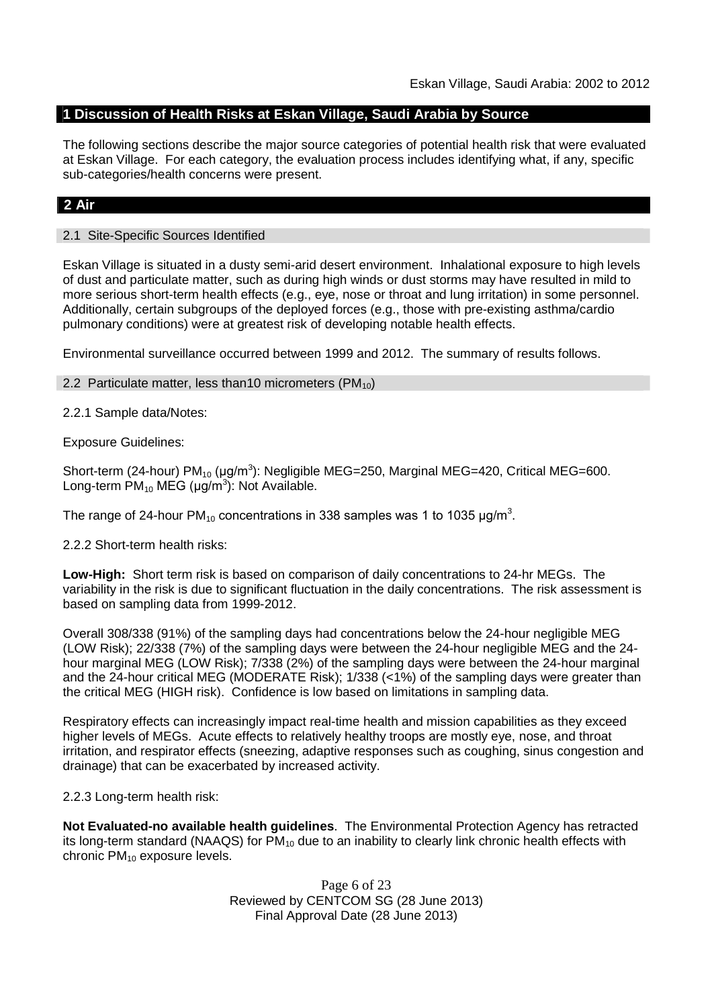# **1 Discussion of Health Risks at Eskan Village, Saudi Arabia by Source**

The following sections describe the major source categories of potential health risk that were evaluated at Eskan Village. For each category, the evaluation process includes identifying what, if any, specific sub-categories/health concerns were present.

# **2 Air**

## 2.1 Site-Specific Sources Identified

Eskan Village is situated in a dusty semi-arid desert environment. Inhalational exposure to high levels of dust and particulate matter, such as during high winds or dust storms may have resulted in mild to more serious short-term health effects (e.g., eye, nose or throat and lung irritation) in some personnel. Additionally, certain subgroups of the deployed forces (e.g., those with pre-existing asthma/cardio pulmonary conditions) were at greatest risk of developing notable health effects.

Environmental surveillance occurred between 1999 and 2012. The summary of results follows.

## 2.2 Particulate matter, less than 10 micrometers ( $PM_{10}$ )

2.2.1 Sample data/Notes:

Exposure Guidelines:

Short-term (24-hour) PM<sub>10</sub> (μg/m<sup>3</sup>): Negligible MEG=250, Marginal MEG=420, Critical MEG=600. Long-term  $PM_{10}$  MEG (µg/m<sup>3</sup>): Not Available.

The range of 24-hour PM<sub>10</sub> concentrations in 338 samples was 1 to 1035  $\mu$ g/m<sup>3</sup>.

2.2.2 Short-term health risks:

**Low-High:** Short term risk is based on comparison of daily concentrations to 24-hr MEGs. The variability in the risk is due to significant fluctuation in the daily concentrations. The risk assessment is based on sampling data from 1999-2012.

Overall 308/338 (91%) of the sampling days had concentrations below the 24-hour negligible MEG (LOW Risk); 22/338 (7%) of the sampling days were between the 24-hour negligible MEG and the 24 hour marginal MEG (LOW Risk); 7/338 (2%) of the sampling days were between the 24-hour marginal and the 24-hour critical MEG (MODERATE Risk); 1/338 (<1%) of the sampling days were greater than the critical MEG (HIGH risk). Confidence is low based on limitations in sampling data.

Respiratory effects can increasingly impact real-time health and mission capabilities as they exceed higher levels of MEGs. Acute effects to relatively healthy troops are mostly eye, nose, and throat irritation, and respirator effects (sneezing, adaptive responses such as coughing, sinus congestion and drainage) that can be exacerbated by increased activity.

2.2.3 Long-term health risk:

**Not Evaluated-no available health guidelines**. The Environmental Protection Agency has retracted its long-term standard (NAAQS) for  $PM_{10}$  due to an inability to clearly link chronic health effects with chronic  $PM_{10}$  exposure levels.

> Page 6 of 23 Reviewed by CENTCOM SG (28 June 2013) Final Approval Date (28 June 2013)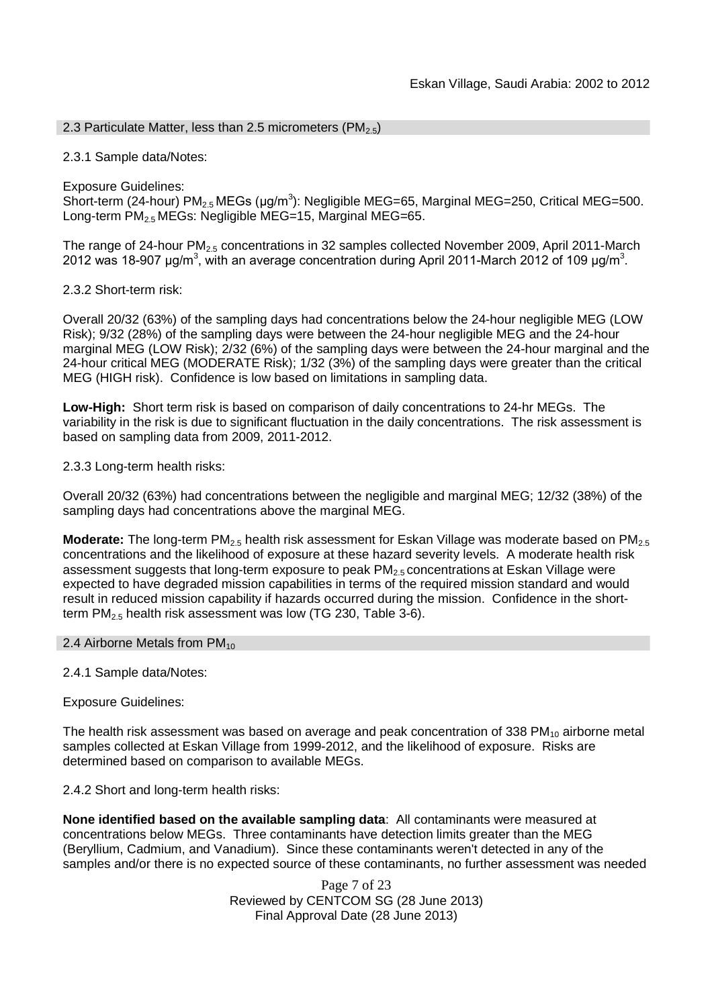## 2.3 Particulate Matter, less than 2.5 micrometers (PM<sub>2.5</sub>)

## 2.3.1 Sample data/Notes:

Exposure Guidelines:

Short-term (24-hour) PM<sub>2.5</sub> MEGs (μg/m<sup>3</sup>): Negligible MEG=65, Marginal MEG=250, Critical MEG=500. Long-term  $PM_{2.5}$  MEGs: Negligible MEG=15, Marginal MEG=65.

The range of 24-hour PM<sub>2.5</sub> concentrations in 32 samples collected November 2009, April 2011-March 2012 was 18-907 μg/m<sup>3</sup>, with an average concentration during April 2011-March 2012 of 109 μg/m<sup>3</sup>.

## 2.3.2 Short-term risk:

Overall 20/32 (63%) of the sampling days had concentrations below the 24-hour negligible MEG (LOW Risk); 9/32 (28%) of the sampling days were between the 24-hour negligible MEG and the 24-hour marginal MEG (LOW Risk); 2/32 (6%) of the sampling days were between the 24-hour marginal and the 24-hour critical MEG (MODERATE Risk); 1/32 (3%) of the sampling days were greater than the critical MEG (HIGH risk). Confidence is low based on limitations in sampling data.

**Low-High:** Short term risk is based on comparison of daily concentrations to 24-hr MEGs. The variability in the risk is due to significant fluctuation in the daily concentrations. The risk assessment is based on sampling data from 2009, 2011-2012.

2.3.3 Long-term health risks:

Overall 20/32 (63%) had concentrations between the negligible and marginal MEG; 12/32 (38%) of the sampling days had concentrations above the marginal MEG.

**Moderate:** The long-term PM<sub>2.5</sub> health risk assessment for Eskan Village was moderate based on PM<sub>2.5</sub> concentrations and the likelihood of exposure at these hazard severity levels. A moderate health risk assessment suggests that long-term exposure to peak PM<sub>2.5</sub> concentrations at Eskan Village were expected to have degraded mission capabilities in terms of the required mission standard and would result in reduced mission capability if hazards occurred during the mission. Confidence in the shortterm  $PM<sub>2.5</sub>$  health risk assessment was low (TG 230, Table 3-6).

#### 2.4 Airborne Metals from  $PM_{10}$

2.4.1 Sample data/Notes:

Exposure Guidelines:

The health risk assessment was based on average and peak concentration of 338 PM $_{10}$  airborne metal samples collected at Eskan Village from 1999-2012, and the likelihood of exposure. Risks are determined based on comparison to available MEGs.

2.4.2 Short and long-term health risks:

**None identified based on the available sampling data**: All contaminants were measured at concentrations below MEGs. Three contaminants have detection limits greater than the MEG (Beryllium, Cadmium, and Vanadium). Since these contaminants weren't detected in any of the samples and/or there is no expected source of these contaminants, no further assessment was needed

> Page 7 of 23 Reviewed by CENTCOM SG (28 June 2013) Final Approval Date (28 June 2013)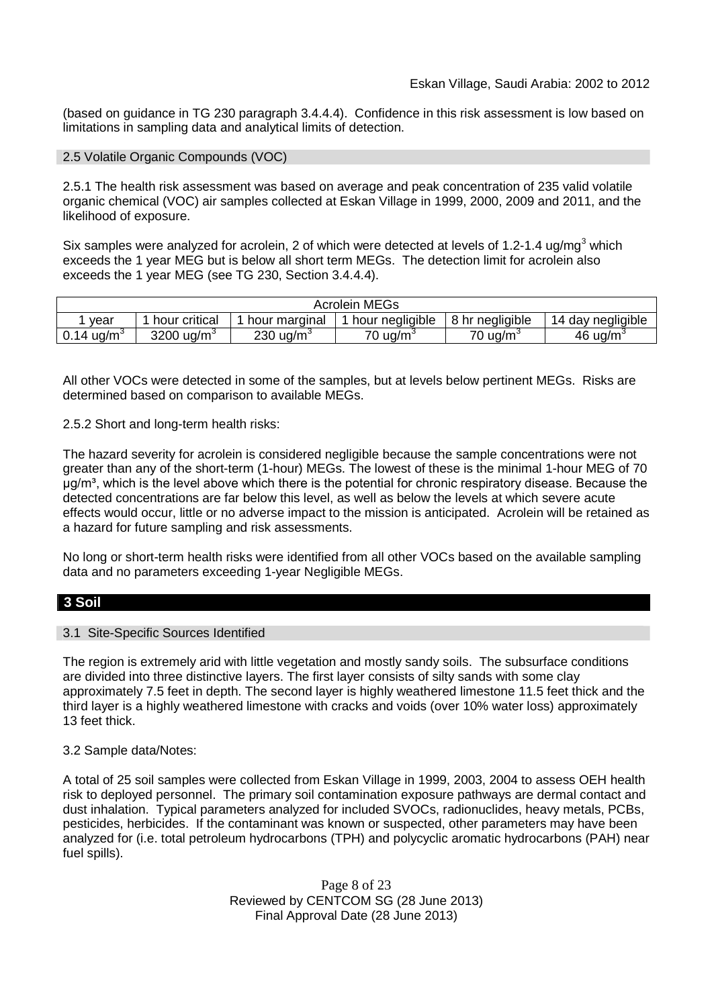(based on guidance in TG 230 paragraph 3.4.4.4). Confidence in this risk assessment is low based on limitations in sampling data and analytical limits of detection.

#### 2.5 Volatile Organic Compounds (VOC)

2.5.1 The health risk assessment was based on average and peak concentration of 235 valid volatile organic chemical (VOC) air samples collected at Eskan Village in 1999, 2000, 2009 and 2011, and the likelihood of exposure.

Six samples were analyzed for acrolein, 2 of which were detected at levels of 1.2-1.4 ug/mg<sup>3</sup> which exceeds the 1 year MEG but is below all short term MEGs. The detection limit for acrolein also exceeds the 1 year MEG (see TG 230, Section 3.4.4.4).

| <b>Acrolein MEGs</b>        |                             |                    |                   |                 |                      |  |  |  |
|-----------------------------|-----------------------------|--------------------|-------------------|-----------------|----------------------|--|--|--|
| vear                        | hour critical               | hour marginal      | hour negligible   | 8 hr negligible | 14 day negligible    |  |  |  |
| 0.14 $\mu$ q/m <sup>3</sup> | 3200 $\mu$ g/m <sup>3</sup> | $230 \text{ uq/m}$ | $70 \text{ uq/m}$ | 70 ug/m $^3$    | 46 ug/m <sup>3</sup> |  |  |  |

All other VOCs were detected in some of the samples, but at levels below pertinent MEGs. Risks are determined based on comparison to available MEGs.

2.5.2 Short and long-term health risks:

The hazard severity for acrolein is considered negligible because the sample concentrations were not greater than any of the short-term (1-hour) MEGs. The lowest of these is the minimal 1-hour MEG of 70 μg/m³, which is the level above which there is the potential for chronic respiratory disease. Because the detected concentrations are far below this level, as well as below the levels at which severe acute effects would occur, little or no adverse impact to the mission is anticipated. Acrolein will be retained as a hazard for future sampling and risk assessments.

No long or short-term health risks were identified from all other VOCs based on the available sampling data and no parameters exceeding 1-year Negligible MEGs.

# **3 Soil**

#### 3.1 Site-Specific Sources Identified

The region is extremely arid with little vegetation and mostly sandy soils. The subsurface conditions are divided into three distinctive layers. The first layer consists of silty sands with some clay approximately 7.5 feet in depth. The second layer is highly weathered limestone 11.5 feet thick and the third layer is a highly weathered limestone with cracks and voids (over 10% water loss) approximately 13 feet thick.

#### 3.2 Sample data/Notes:

A total of 25 soil samples were collected from Eskan Village in 1999, 2003, 2004 to assess OEH health risk to deployed personnel. The primary soil contamination exposure pathways are dermal contact and dust inhalation. Typical parameters analyzed for included SVOCs, radionuclides, heavy metals, PCBs, pesticides, herbicides. If the contaminant was known or suspected, other parameters may have been analyzed for (i.e. total petroleum hydrocarbons (TPH) and polycyclic aromatic hydrocarbons (PAH) near fuel spills).

> Page 8 of 23 Reviewed by CENTCOM SG (28 June 2013) Final Approval Date (28 June 2013)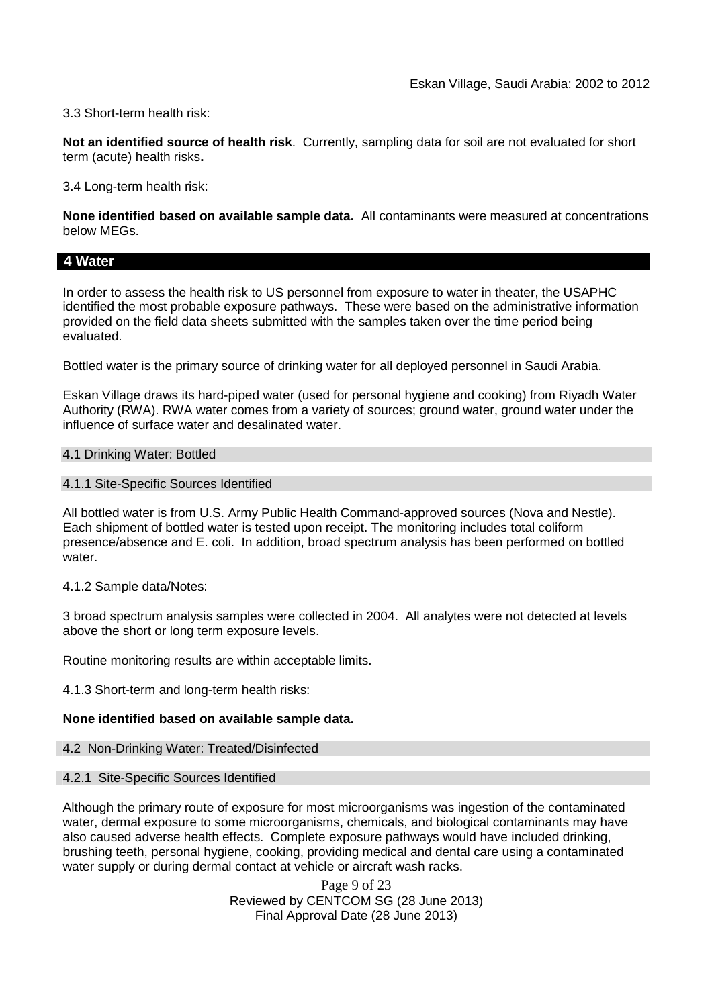## 3.3 Short-term health risk:

**Not an identified source of health risk**. Currently, sampling data for soil are not evaluated for short term (acute) health risks**.**

3.4 Long-term health risk:

**None identified based on available sample data.** All contaminants were measured at concentrations below MEGs.

## **4 Water**

In order to assess the health risk to US personnel from exposure to water in theater, the USAPHC identified the most probable exposure pathways. These were based on the administrative information provided on the field data sheets submitted with the samples taken over the time period being evaluated.

Bottled water is the primary source of drinking water for all deployed personnel in Saudi Arabia.

Eskan Village draws its hard-piped water (used for personal hygiene and cooking) from Riyadh Water Authority (RWA). RWA water comes from a variety of sources; ground water, ground water under the influence of surface water and desalinated water.

#### 4.1 Drinking Water: Bottled

#### 4.1.1 Site-Specific Sources Identified

All bottled water is from U.S. Army Public Health Command-approved sources (Nova and Nestle). Each shipment of bottled water is tested upon receipt. The monitoring includes total coliform presence/absence and E. coli. In addition, broad spectrum analysis has been performed on bottled water.

#### 4.1.2 Sample data/Notes:

3 broad spectrum analysis samples were collected in 2004. All analytes were not detected at levels above the short or long term exposure levels.

Routine monitoring results are within acceptable limits.

4.1.3 Short-term and long-term health risks:

#### **None identified based on available sample data.**

#### 4.2 Non-Drinking Water: Treated/Disinfected

#### 4.2.1 Site-Specific Sources Identified

Although the primary route of exposure for most microorganisms was ingestion of the contaminated water, dermal exposure to some microorganisms, chemicals, and biological contaminants may have also caused adverse health effects. Complete exposure pathways would have included drinking, brushing teeth, personal hygiene, cooking, providing medical and dental care using a contaminated water supply or during dermal contact at vehicle or aircraft wash racks.

> Page 9 of 23 Reviewed by CENTCOM SG (28 June 2013) Final Approval Date (28 June 2013)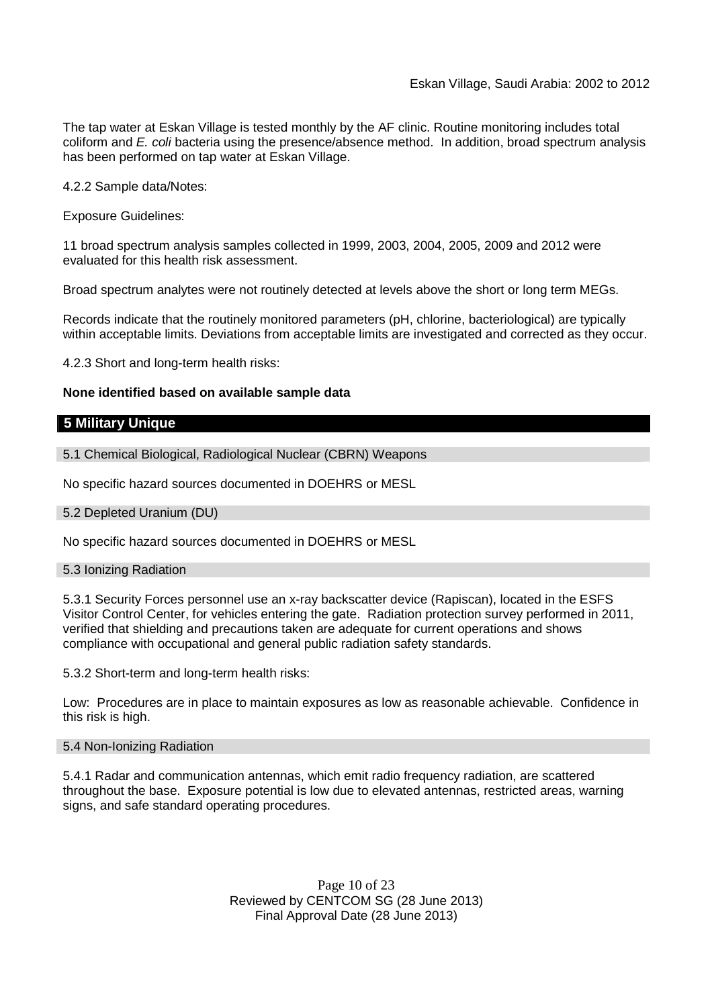The tap water at Eskan Village is tested monthly by the AF clinic. Routine monitoring includes total coliform and *E. coli* bacteria using the presence/absence method. In addition, broad spectrum analysis has been performed on tap water at Eskan Village.

4.2.2 Sample data/Notes:

Exposure Guidelines:

11 broad spectrum analysis samples collected in 1999, 2003, 2004, 2005, 2009 and 2012 were evaluated for this health risk assessment.

Broad spectrum analytes were not routinely detected at levels above the short or long term MEGs.

Records indicate that the routinely monitored parameters (pH, chlorine, bacteriological) are typically within acceptable limits. Deviations from acceptable limits are investigated and corrected as they occur.

4.2.3 Short and long-term health risks:

#### **None identified based on available sample data**

#### **5 Military Unique**

5.1 Chemical Biological, Radiological Nuclear (CBRN) Weapons

No specific hazard sources documented in DOEHRS or MESL

#### 5.2 Depleted Uranium (DU)

No specific hazard sources documented in DOEHRS or MESL

#### 5.3 Ionizing Radiation

5.3.1 Security Forces personnel use an x-ray backscatter device (Rapiscan), located in the ESFS Visitor Control Center, for vehicles entering the gate. Radiation protection survey performed in 2011, verified that shielding and precautions taken are adequate for current operations and shows compliance with occupational and general public radiation safety standards.

5.3.2 Short-term and long-term health risks:

Low: Procedures are in place to maintain exposures as low as reasonable achievable. Confidence in this risk is high.

#### 5.4 Non-Ionizing Radiation

5.4.1 Radar and communication antennas, which emit radio frequency radiation, are scattered throughout the base. Exposure potential is low due to elevated antennas, restricted areas, warning signs, and safe standard operating procedures.

> Page 10 of 23 Reviewed by CENTCOM SG (28 June 2013) Final Approval Date (28 June 2013)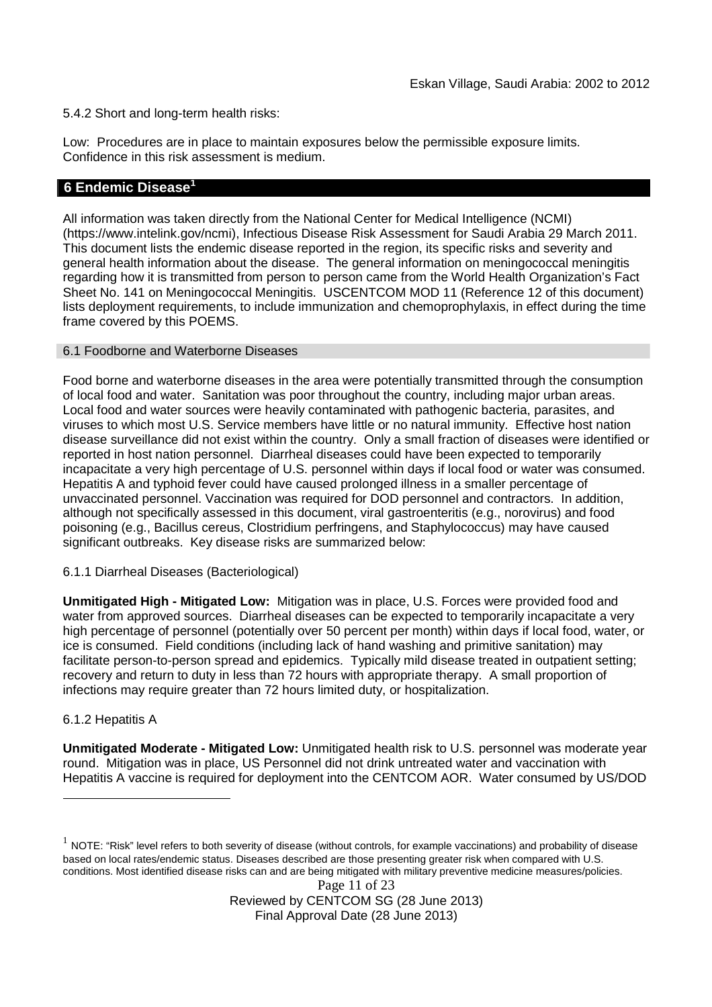5.4.2 Short and long-term health risks:

Low: Procedures are in place to maintain exposures below the permissible exposure limits. Confidence in this risk assessment is medium.

# **6 Endemic Disease<sup>1</sup>**

All information was taken directly from the National Center for Medical Intelligence (NCMI) (https://www.intelink.gov/ncmi), Infectious Disease Risk Assessment for Saudi Arabia 29 March 2011. This document lists the endemic disease reported in the region, its specific risks and severity and general health information about the disease. The general information on meningococcal meningitis regarding how it is transmitted from person to person came from the World Health Organization's Fact Sheet No. 141 on Meningococcal Meningitis. USCENTCOM MOD 11 (Reference 12 of this document) lists deployment requirements, to include immunization and chemoprophylaxis, in effect during the time frame covered by this POEMS.

#### 6.1 Foodborne and Waterborne Diseases

Food borne and waterborne diseases in the area were potentially transmitted through the consumption of local food and water. Sanitation was poor throughout the country, including major urban areas. Local food and water sources were heavily contaminated with pathogenic bacteria, parasites, and viruses to which most U.S. Service members have little or no natural immunity. Effective host nation disease surveillance did not exist within the country. Only a small fraction of diseases were identified or reported in host nation personnel. Diarrheal diseases could have been expected to temporarily incapacitate a very high percentage of U.S. personnel within days if local food or water was consumed. Hepatitis A and typhoid fever could have caused prolonged illness in a smaller percentage of unvaccinated personnel. Vaccination was required for DOD personnel and contractors. In addition, although not specifically assessed in this document, viral gastroenteritis (e.g., norovirus) and food poisoning (e.g., Bacillus cereus, Clostridium perfringens, and Staphylococcus) may have caused significant outbreaks. Key disease risks are summarized below:

#### 6.1.1 Diarrheal Diseases (Bacteriological)

**Unmitigated High - Mitigated Low:** Mitigation was in place, U.S. Forces were provided food and water from approved sources. Diarrheal diseases can be expected to temporarily incapacitate a very high percentage of personnel (potentially over 50 percent per month) within days if local food, water, or ice is consumed. Field conditions (including lack of hand washing and primitive sanitation) may facilitate person-to-person spread and epidemics. Typically mild disease treated in outpatient setting; recovery and return to duty in less than 72 hours with appropriate therapy. A small proportion of infections may require greater than 72 hours limited duty, or hospitalization.

#### 6.1.2 Hepatitis A

**Unmitigated Moderate - Mitigated Low:** Unmitigated health risk to U.S. personnel was moderate year round. Mitigation was in place, US Personnel did not drink untreated water and vaccination with Hepatitis A vaccine is required for deployment into the CENTCOM AOR. Water consumed by US/DOD

 $^1$  NOTE: "Risk" level refers to both severity of disease (without controls, for example vaccinations) and probability of disease based on local rates/endemic status. Diseases described are those presenting greater risk when compared with U.S. conditions. Most identified disease risks can and are being mitigated with military preventive medicine measures/policies.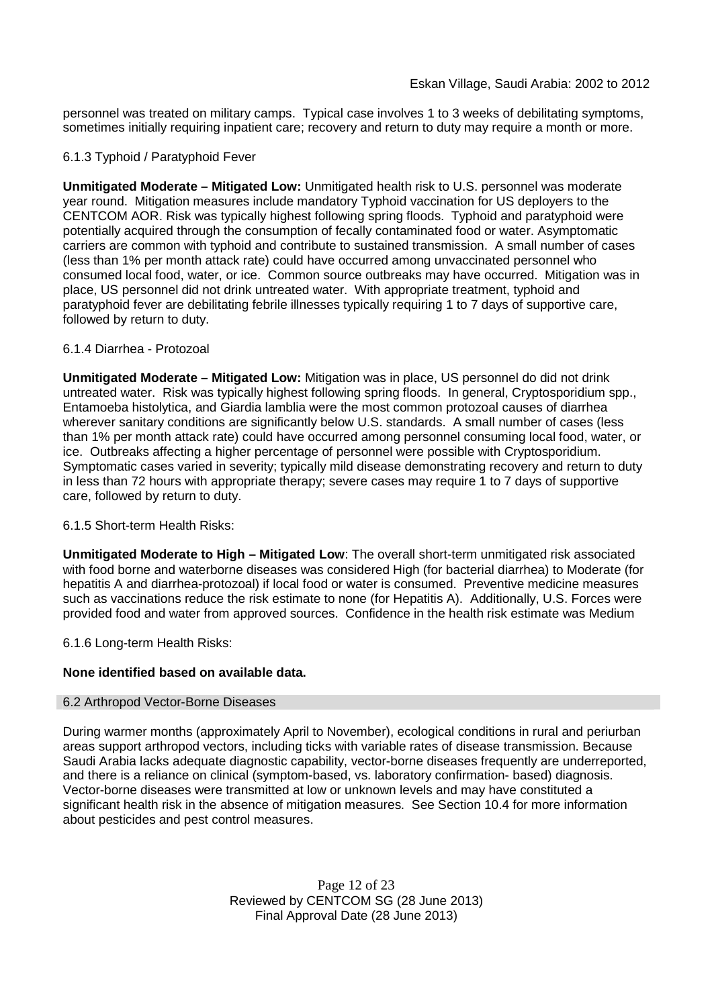personnel was treated on military camps. Typical case involves 1 to 3 weeks of debilitating symptoms, sometimes initially requiring inpatient care; recovery and return to duty may require a month or more.

## 6.1.3 Typhoid / Paratyphoid Fever

**Unmitigated Moderate – Mitigated Low:** Unmitigated health risk to U.S. personnel was moderate year round. Mitigation measures include mandatory Typhoid vaccination for US deployers to the CENTCOM AOR. Risk was typically highest following spring floods. Typhoid and paratyphoid were potentially acquired through the consumption of fecally contaminated food or water. Asymptomatic carriers are common with typhoid and contribute to sustained transmission. A small number of cases (less than 1% per month attack rate) could have occurred among unvaccinated personnel who consumed local food, water, or ice. Common source outbreaks may have occurred. Mitigation was in place, US personnel did not drink untreated water. With appropriate treatment, typhoid and paratyphoid fever are debilitating febrile illnesses typically requiring 1 to 7 days of supportive care, followed by return to duty.

## 6.1.4 Diarrhea - Protozoal

**Unmitigated Moderate – Mitigated Low:** Mitigation was in place, US personnel do did not drink untreated water. Risk was typically highest following spring floods. In general, Cryptosporidium spp., Entamoeba histolytica, and Giardia lamblia were the most common protozoal causes of diarrhea wherever sanitary conditions are significantly below U.S. standards. A small number of cases (less than 1% per month attack rate) could have occurred among personnel consuming local food, water, or ice. Outbreaks affecting a higher percentage of personnel were possible with Cryptosporidium. Symptomatic cases varied in severity; typically mild disease demonstrating recovery and return to duty in less than 72 hours with appropriate therapy; severe cases may require 1 to 7 days of supportive care, followed by return to duty.

#### 6.1.5 Short-term Health Risks:

**Unmitigated Moderate to High – Mitigated Low**: The overall short-term unmitigated risk associated with food borne and waterborne diseases was considered High (for bacterial diarrhea) to Moderate (for hepatitis A and diarrhea-protozoal) if local food or water is consumed. Preventive medicine measures such as vaccinations reduce the risk estimate to none (for Hepatitis A). Additionally, U.S. Forces were provided food and water from approved sources. Confidence in the health risk estimate was Medium

6.1.6 Long-term Health Risks:

# **None identified based on available data.**

#### 6.2 Arthropod Vector-Borne Diseases

During warmer months (approximately April to November), ecological conditions in rural and periurban areas support arthropod vectors, including ticks with variable rates of disease transmission. Because Saudi Arabia lacks adequate diagnostic capability, vector-borne diseases frequently are underreported, and there is a reliance on clinical (symptom-based, vs. laboratory confirmation- based) diagnosis. Vector-borne diseases were transmitted at low or unknown levels and may have constituted a significant health risk in the absence of mitigation measures. See Section 10.4 for more information about pesticides and pest control measures.

> Page 12 of 23 Reviewed by CENTCOM SG (28 June 2013) Final Approval Date (28 June 2013)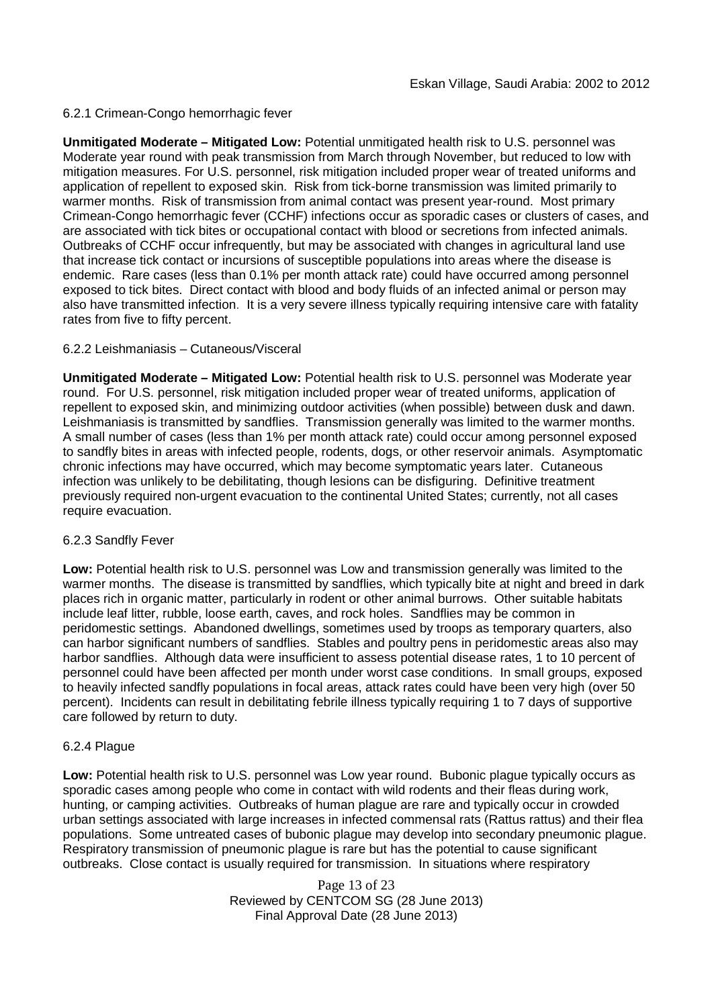## 6.2.1 Crimean-Congo hemorrhagic fever

**Unmitigated Moderate – Mitigated Low:** Potential unmitigated health risk to U.S. personnel was Moderate year round with peak transmission from March through November, but reduced to low with mitigation measures. For U.S. personnel, risk mitigation included proper wear of treated uniforms and application of repellent to exposed skin. Risk from tick-borne transmission was limited primarily to warmer months. Risk of transmission from animal contact was present year-round. Most primary Crimean-Congo hemorrhagic fever (CCHF) infections occur as sporadic cases or clusters of cases, and are associated with tick bites or occupational contact with blood or secretions from infected animals. Outbreaks of CCHF occur infrequently, but may be associated with changes in agricultural land use that increase tick contact or incursions of susceptible populations into areas where the disease is endemic. Rare cases (less than 0.1% per month attack rate) could have occurred among personnel exposed to tick bites. Direct contact with blood and body fluids of an infected animal or person may also have transmitted infection. It is a very severe illness typically requiring intensive care with fatality rates from five to fifty percent.

## 6.2.2 Leishmaniasis – Cutaneous/Visceral

**Unmitigated Moderate – Mitigated Low:** Potential health risk to U.S. personnel was Moderate year round. For U.S. personnel, risk mitigation included proper wear of treated uniforms, application of repellent to exposed skin, and minimizing outdoor activities (when possible) between dusk and dawn. Leishmaniasis is transmitted by sandflies. Transmission generally was limited to the warmer months. A small number of cases (less than 1% per month attack rate) could occur among personnel exposed to sandfly bites in areas with infected people, rodents, dogs, or other reservoir animals. Asymptomatic chronic infections may have occurred, which may become symptomatic years later. Cutaneous infection was unlikely to be debilitating, though lesions can be disfiguring. Definitive treatment previously required non-urgent evacuation to the continental United States; currently, not all cases require evacuation.

#### 6.2.3 Sandfly Fever

**Low:** Potential health risk to U.S. personnel was Low and transmission generally was limited to the warmer months. The disease is transmitted by sandflies, which typically bite at night and breed in dark places rich in organic matter, particularly in rodent or other animal burrows. Other suitable habitats include leaf litter, rubble, loose earth, caves, and rock holes. Sandflies may be common in peridomestic settings. Abandoned dwellings, sometimes used by troops as temporary quarters, also can harbor significant numbers of sandflies. Stables and poultry pens in peridomestic areas also may harbor sandflies. Although data were insufficient to assess potential disease rates, 1 to 10 percent of personnel could have been affected per month under worst case conditions. In small groups, exposed to heavily infected sandfly populations in focal areas, attack rates could have been very high (over 50 percent). Incidents can result in debilitating febrile illness typically requiring 1 to 7 days of supportive care followed by return to duty.

#### 6.2.4 Plague

**Low:** Potential health risk to U.S. personnel was Low year round. Bubonic plague typically occurs as sporadic cases among people who come in contact with wild rodents and their fleas during work, hunting, or camping activities. Outbreaks of human plague are rare and typically occur in crowded urban settings associated with large increases in infected commensal rats (Rattus rattus) and their flea populations. Some untreated cases of bubonic plague may develop into secondary pneumonic plague. Respiratory transmission of pneumonic plague is rare but has the potential to cause significant outbreaks. Close contact is usually required for transmission. In situations where respiratory

> Page 13 of 23 Reviewed by CENTCOM SG (28 June 2013) Final Approval Date (28 June 2013)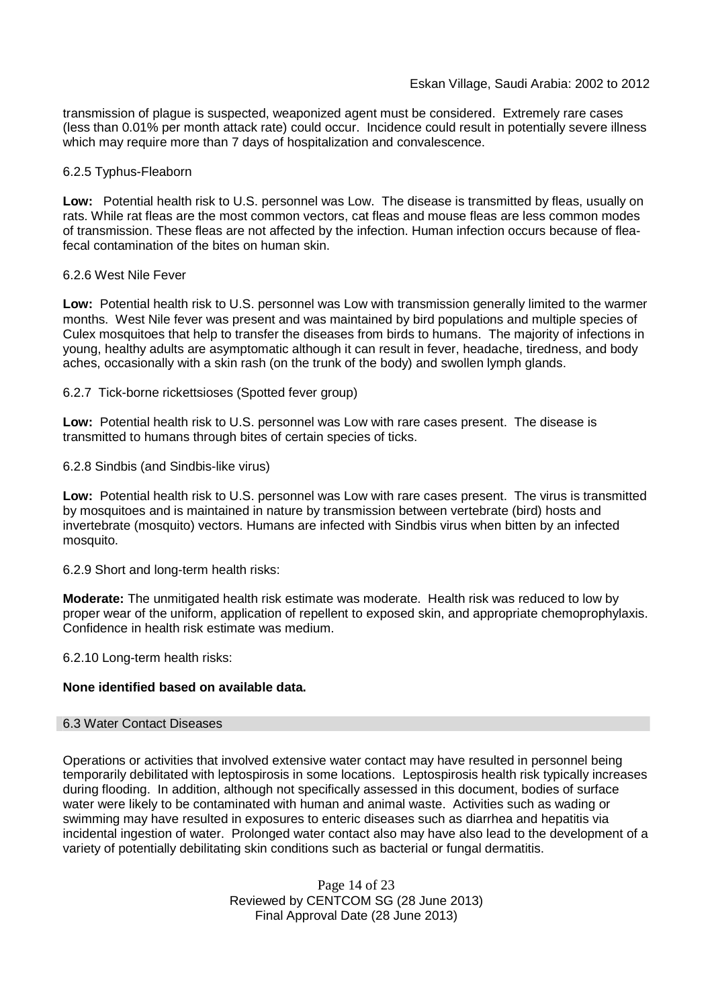transmission of plague is suspected, weaponized agent must be considered. Extremely rare cases (less than 0.01% per month attack rate) could occur. Incidence could result in potentially severe illness which may require more than 7 days of hospitalization and convalescence.

#### 6.2.5 Typhus-Fleaborn

**Low:** Potential health risk to U.S. personnel was Low. The disease is transmitted by fleas, usually on rats. While rat fleas are the most common vectors, cat fleas and mouse fleas are less common modes of transmission. These fleas are not affected by the infection. Human infection occurs because of fleafecal contamination of the bites on human skin.

#### 6.2.6 West Nile Fever

**Low:** Potential health risk to U.S. personnel was Low with transmission generally limited to the warmer months. West Nile fever was present and was maintained by bird populations and multiple species of Culex mosquitoes that help to transfer the diseases from birds to humans. The majority of infections in young, healthy adults are asymptomatic although it can result in fever, headache, tiredness, and body aches, occasionally with a skin rash (on the trunk of the body) and swollen lymph glands.

6.2.7 Tick-borne rickettsioses (Spotted fever group)

**Low:** Potential health risk to U.S. personnel was Low with rare cases present. The disease is transmitted to humans through bites of certain species of ticks.

6.2.8 Sindbis (and Sindbis-like virus)

**Low:** Potential health risk to U.S. personnel was Low with rare cases present. The virus is transmitted by mosquitoes and is maintained in nature by transmission between vertebrate (bird) hosts and invertebrate (mosquito) vectors. Humans are infected with Sindbis virus when bitten by an infected mosquito.

6.2.9 Short and long-term health risks:

**Moderate:** The unmitigated health risk estimate was moderate. Health risk was reduced to low by proper wear of the uniform, application of repellent to exposed skin, and appropriate chemoprophylaxis. Confidence in health risk estimate was medium.

6.2.10 Long-term health risks:

# **None identified based on available data.**

#### 6.3 Water Contact Diseases

Operations or activities that involved extensive water contact may have resulted in personnel being temporarily debilitated with leptospirosis in some locations. Leptospirosis health risk typically increases during flooding. In addition, although not specifically assessed in this document, bodies of surface water were likely to be contaminated with human and animal waste. Activities such as wading or swimming may have resulted in exposures to enteric diseases such as diarrhea and hepatitis via incidental ingestion of water. Prolonged water contact also may have also lead to the development of a variety of potentially debilitating skin conditions such as bacterial or fungal dermatitis.

> Page 14 of 23 Reviewed by CENTCOM SG (28 June 2013) Final Approval Date (28 June 2013)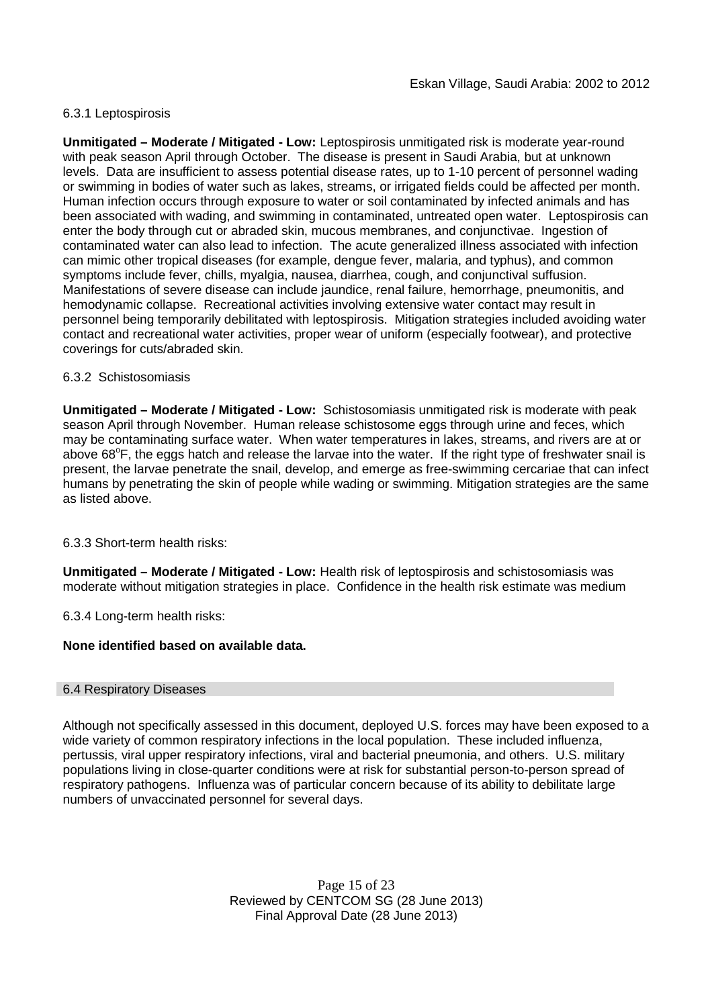## 6.3.1 Leptospirosis

**Unmitigated – Moderate / Mitigated - Low:** Leptospirosis unmitigated risk is moderate year-round with peak season April through October. The disease is present in Saudi Arabia, but at unknown levels. Data are insufficient to assess potential disease rates, up to 1-10 percent of personnel wading or swimming in bodies of water such as lakes, streams, or irrigated fields could be affected per month. Human infection occurs through exposure to water or soil contaminated by infected animals and has been associated with wading, and swimming in contaminated, untreated open water. Leptospirosis can enter the body through cut or abraded skin, mucous membranes, and conjunctivae. Ingestion of contaminated water can also lead to infection. The acute generalized illness associated with infection can mimic other tropical diseases (for example, dengue fever, malaria, and typhus), and common symptoms include fever, chills, myalgia, nausea, diarrhea, cough, and conjunctival suffusion. Manifestations of severe disease can include jaundice, renal failure, hemorrhage, pneumonitis, and hemodynamic collapse. Recreational activities involving extensive water contact may result in personnel being temporarily debilitated with leptospirosis. Mitigation strategies included avoiding water contact and recreational water activities, proper wear of uniform (especially footwear), and protective coverings for cuts/abraded skin.

#### 6.3.2 Schistosomiasis

**Unmitigated – Moderate / Mitigated - Low:** Schistosomiasis unmitigated risk is moderate with peak season April through November. Human release schistosome eggs through urine and feces, which may be contaminating surface water. When water temperatures in lakes, streams, and rivers are at or above  $68^{\circ}$ F, the eggs hatch and release the larvae into the water. If the right type of freshwater snail is present, the larvae penetrate the snail, develop, and emerge as free-swimming cercariae that can infect humans by penetrating the skin of people while wading or swimming. Mitigation strategies are the same as listed above.

6.3.3 Short-term health risks:

**Unmitigated – Moderate / Mitigated - Low:** Health risk of leptospirosis and schistosomiasis was moderate without mitigation strategies in place. Confidence in the health risk estimate was medium

6.3.4 Long-term health risks:

#### **None identified based on available data.**

#### 6.4 Respiratory Diseases

Although not specifically assessed in this document, deployed U.S. forces may have been exposed to a wide variety of common respiratory infections in the local population. These included influenza, pertussis, viral upper respiratory infections, viral and bacterial pneumonia, and others. U.S. military populations living in close-quarter conditions were at risk for substantial person-to-person spread of respiratory pathogens. Influenza was of particular concern because of its ability to debilitate large numbers of unvaccinated personnel for several days.

> Page 15 of 23 Reviewed by CENTCOM SG (28 June 2013) Final Approval Date (28 June 2013)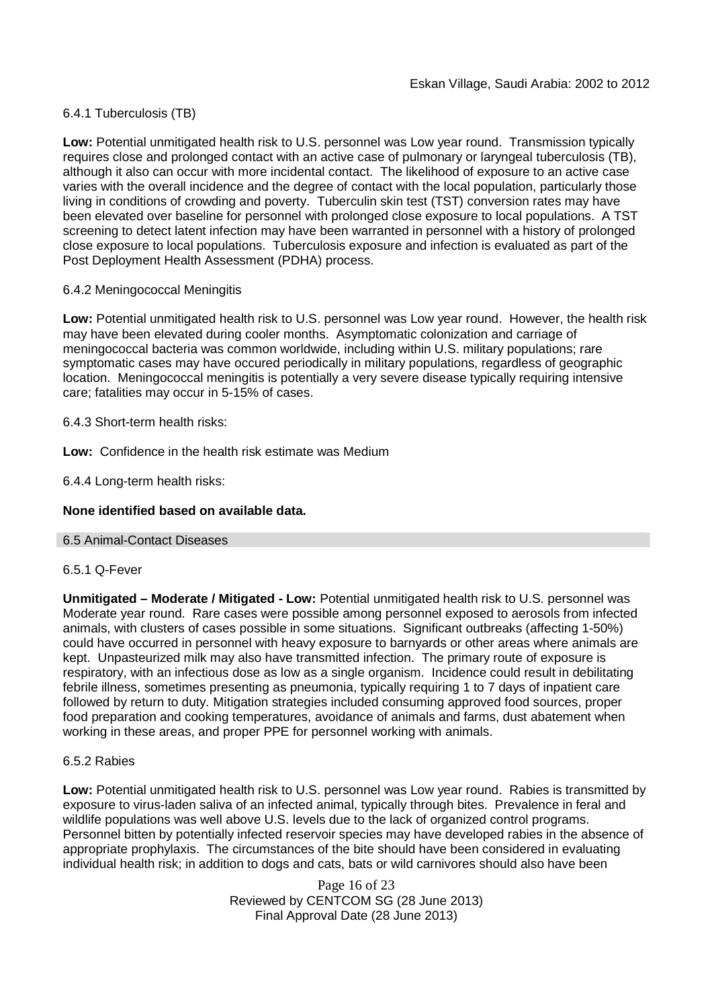# 6.4.1 Tuberculosis (TB)

**Low:** Potential unmitigated health risk to U.S. personnel was Low year round. Transmission typically requires close and prolonged contact with an active case of pulmonary or laryngeal tuberculosis (TB), although it also can occur with more incidental contact. The likelihood of exposure to an active case varies with the overall incidence and the degree of contact with the local population, particularly those living in conditions of crowding and poverty. Tuberculin skin test (TST) conversion rates may have been elevated over baseline for personnel with prolonged close exposure to local populations. A TST screening to detect latent infection may have been warranted in personnel with a history of prolonged close exposure to local populations. Tuberculosis exposure and infection is evaluated as part of the Post Deployment Health Assessment (PDHA) process.

#### 6.4.2 Meningococcal Meningitis

**Low:** Potential unmitigated health risk to U.S. personnel was Low year round. However, the health risk may have been elevated during cooler months. Asymptomatic colonization and carriage of meningococcal bacteria was common worldwide, including within U.S. military populations; rare symptomatic cases may have occured periodically in military populations, regardless of geographic location. Meningococcal meningitis is potentially a very severe disease typically requiring intensive care; fatalities may occur in 5-15% of cases.

#### 6.4.3 Short-term health risks:

**Low:** Confidence in the health risk estimate was Medium

6.4.4 Long-term health risks:

## **None identified based on available data.**

#### 6.5 Animal-Contact Diseases

#### 6.5.1 Q-Fever

**Unmitigated – Moderate / Mitigated - Low:** Potential unmitigated health risk to U.S. personnel was Moderate year round. Rare cases were possible among personnel exposed to aerosols from infected animals, with clusters of cases possible in some situations. Significant outbreaks (affecting 1-50%) could have occurred in personnel with heavy exposure to barnyards or other areas where animals are kept. Unpasteurized milk may also have transmitted infection. The primary route of exposure is respiratory, with an infectious dose as low as a single organism. Incidence could result in debilitating febrile illness, sometimes presenting as pneumonia, typically requiring 1 to 7 days of inpatient care followed by return to duty. Mitigation strategies included consuming approved food sources, proper food preparation and cooking temperatures, avoidance of animals and farms, dust abatement when working in these areas, and proper PPE for personnel working with animals.

#### 6.5.2 Rabies

**Low:** Potential unmitigated health risk to U.S. personnel was Low year round. Rabies is transmitted by exposure to virus-laden saliva of an infected animal, typically through bites. Prevalence in feral and wildlife populations was well above U.S. levels due to the lack of organized control programs. Personnel bitten by potentially infected reservoir species may have developed rabies in the absence of appropriate prophylaxis. The circumstances of the bite should have been considered in evaluating individual health risk; in addition to dogs and cats, bats or wild carnivores should also have been

> Page 16 of 23 Reviewed by CENTCOM SG (28 June 2013) Final Approval Date (28 June 2013)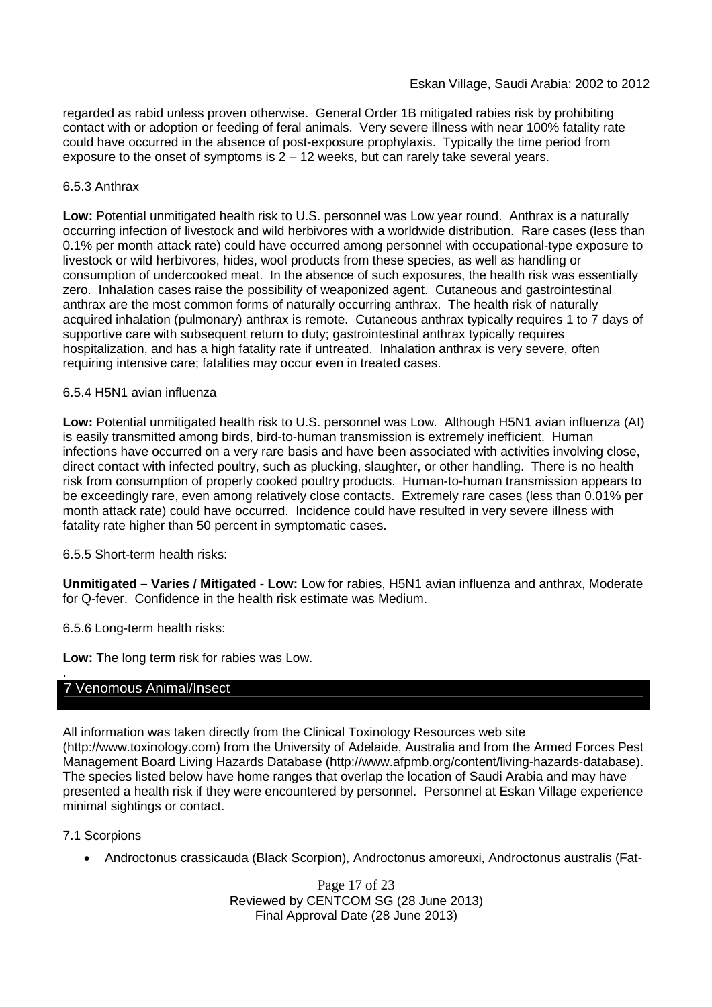regarded as rabid unless proven otherwise. General Order 1B mitigated rabies risk by prohibiting contact with or adoption or feeding of feral animals. Very severe illness with near 100% fatality rate could have occurred in the absence of post-exposure prophylaxis. Typically the time period from exposure to the onset of symptoms is  $2 - 12$  weeks, but can rarely take several years.

## 6.5.3 Anthrax

**Low:** Potential unmitigated health risk to U.S. personnel was Low year round. Anthrax is a naturally occurring infection of livestock and wild herbivores with a worldwide distribution. Rare cases (less than 0.1% per month attack rate) could have occurred among personnel with occupational-type exposure to livestock or wild herbivores, hides, wool products from these species, as well as handling or consumption of undercooked meat. In the absence of such exposures, the health risk was essentially zero. Inhalation cases raise the possibility of weaponized agent. Cutaneous and gastrointestinal anthrax are the most common forms of naturally occurring anthrax. The health risk of naturally acquired inhalation (pulmonary) anthrax is remote. Cutaneous anthrax typically requires 1 to 7 days of supportive care with subsequent return to duty; gastrointestinal anthrax typically requires hospitalization, and has a high fatality rate if untreated. Inhalation anthrax is very severe, often requiring intensive care; fatalities may occur even in treated cases.

## 6.5.4 H5N1 avian influenza

**Low:** Potential unmitigated health risk to U.S. personnel was Low. Although H5N1 avian influenza (AI) is easily transmitted among birds, bird-to-human transmission is extremely inefficient. Human infections have occurred on a very rare basis and have been associated with activities involving close, direct contact with infected poultry, such as plucking, slaughter, or other handling. There is no health risk from consumption of properly cooked poultry products. Human-to-human transmission appears to be exceedingly rare, even among relatively close contacts. Extremely rare cases (less than 0.01% per month attack rate) could have occurred. Incidence could have resulted in very severe illness with fatality rate higher than 50 percent in symptomatic cases.

#### 6.5.5 Short-term health risks:

**Unmitigated – Varies / Mitigated - Low:** Low for rabies, H5N1 avian influenza and anthrax, Moderate for Q-fever. Confidence in the health risk estimate was Medium.

6.5.6 Long-term health risks:

**Low:** The long term risk for rabies was Low.

# 7 Venomous Animal/Insect

All information was taken directly from the Clinical Toxinology Resources web site (http://www.toxinology.com) from the University of Adelaide, Australia and from the Armed Forces Pest Management Board Living Hazards Database (http://www.afpmb.org/content/living-hazards-database). The species listed below have home ranges that overlap the location of Saudi Arabia and may have presented a health risk if they were encountered by personnel. Personnel at Eskan Village experience minimal sightings or contact.

#### 7.1 Scorpions

.

Androctonus crassicauda (Black Scorpion), Androctonus amoreuxi, Androctonus australis (Fat-

Page 17 of 23 Reviewed by CENTCOM SG (28 June 2013) Final Approval Date (28 June 2013)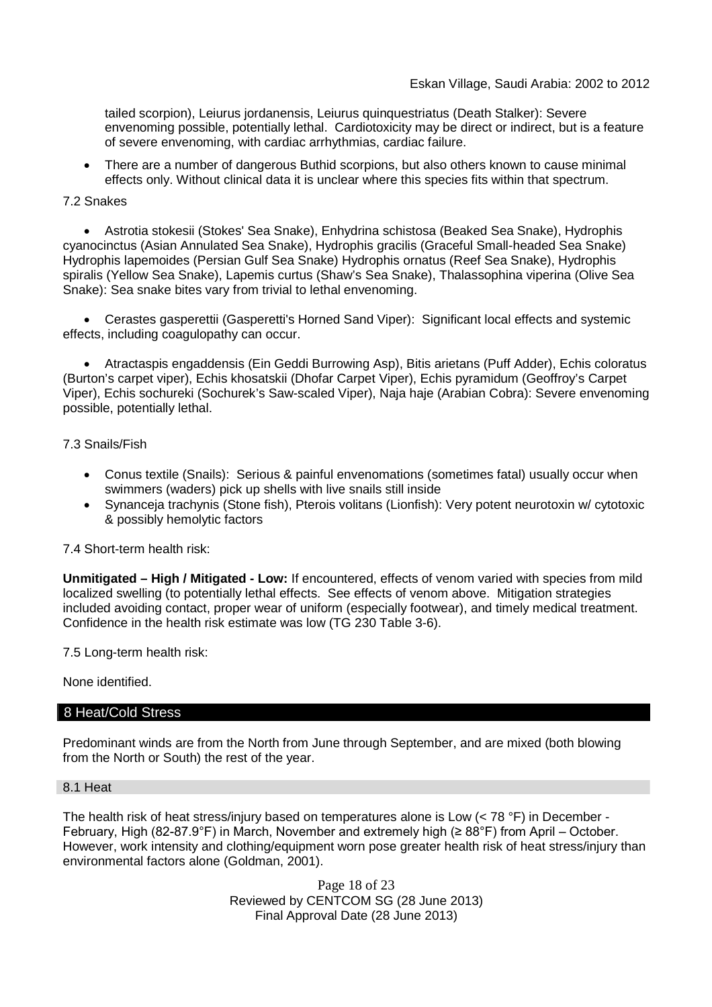tailed scorpion), Leiurus jordanensis, Leiurus quinquestriatus (Death Stalker): Severe envenoming possible, potentially lethal. Cardiotoxicity may be direct or indirect, but is a feature of severe envenoming, with cardiac arrhythmias, cardiac failure.

 There are a number of dangerous Buthid scorpions, but also others known to cause minimal effects only. Without clinical data it is unclear where this species fits within that spectrum.

## 7.2 Snakes

 Astrotia stokesii (Stokes' Sea Snake), Enhydrina schistosa (Beaked Sea Snake), Hydrophis cyanocinctus (Asian Annulated Sea Snake), Hydrophis gracilis (Graceful Small-headed Sea Snake) Hydrophis lapemoides (Persian Gulf Sea Snake) Hydrophis ornatus (Reef Sea Snake), Hydrophis spiralis (Yellow Sea Snake), Lapemis curtus (Shaw's Sea Snake), Thalassophina viperina (Olive Sea Snake): Sea snake bites vary from trivial to lethal envenoming.

 Cerastes gasperettii (Gasperetti's Horned Sand Viper): Significant local effects and systemic effects, including coagulopathy can occur.

 Atractaspis engaddensis (Ein Geddi Burrowing Asp), Bitis arietans (Puff Adder), Echis coloratus (Burton's carpet viper), Echis khosatskii (Dhofar Carpet Viper), Echis pyramidum (Geoffroy's Carpet Viper), Echis sochureki (Sochurek's Saw-scaled Viper), Naja haje (Arabian Cobra): Severe envenoming possible, potentially lethal.

## 7.3 Snails/Fish

- Conus textile (Snails): Serious & painful envenomations (sometimes fatal) usually occur when swimmers (waders) pick up shells with live snails still inside
- Synanceja trachynis (Stone fish), Pterois volitans (Lionfish): Very potent neurotoxin w/ cytotoxic & possibly hemolytic factors

# 7.4 Short-term health risk:

**Unmitigated – High / Mitigated - Low:** If encountered, effects of venom varied with species from mild localized swelling (to potentially lethal effects. See effects of venom above. Mitigation strategies included avoiding contact, proper wear of uniform (especially footwear), and timely medical treatment. Confidence in the health risk estimate was low (TG 230 Table 3-6).

7.5 Long-term health risk:

None identified.

## 8 Heat/Cold Stress

Predominant winds are from the North from June through September, and are mixed (both blowing from the North or South) the rest of the year.

#### 8.1 Heat

The health risk of heat stress/injury based on temperatures alone is Low (< 78 °F) in December - February, High (82-87.9°F) in March, November and extremely high (≥ 88°F) from April – October. However, work intensity and clothing/equipment worn pose greater health risk of heat stress/injury than environmental factors alone (Goldman, 2001).

> Page 18 of 23 Reviewed by CENTCOM SG (28 June 2013) Final Approval Date (28 June 2013)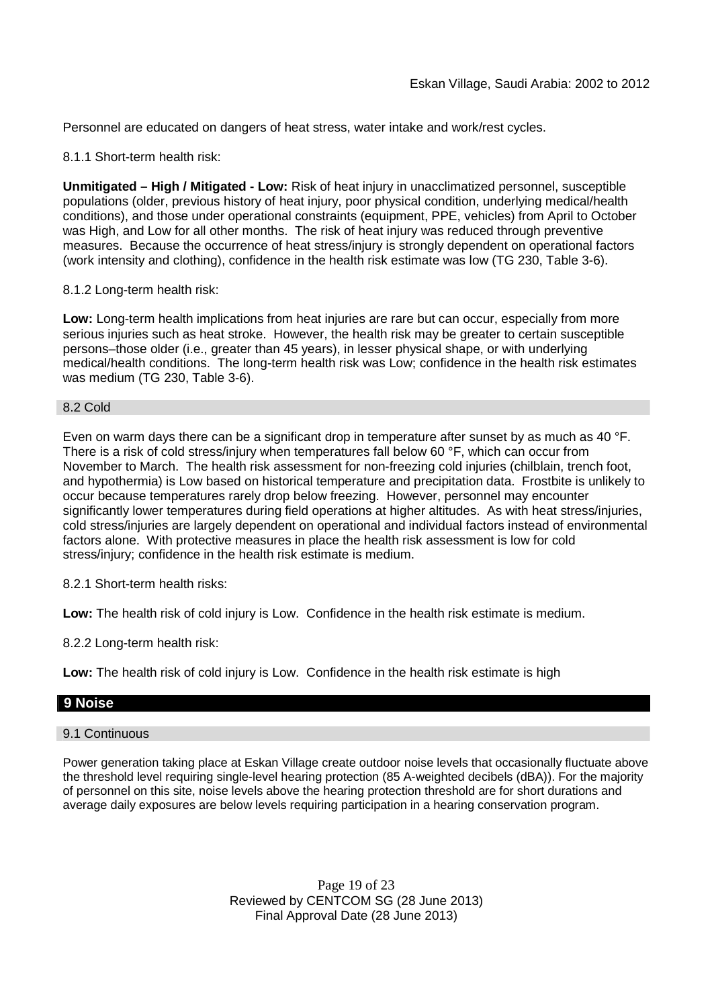Personnel are educated on dangers of heat stress, water intake and work/rest cycles.

8.1.1 Short-term health risk:

**Unmitigated – High / Mitigated - Low:** Risk of heat injury in unacclimatized personnel, susceptible populations (older, previous history of heat injury, poor physical condition, underlying medical/health conditions), and those under operational constraints (equipment, PPE, vehicles) from April to October was High, and Low for all other months. The risk of heat injury was reduced through preventive measures. Because the occurrence of heat stress/injury is strongly dependent on operational factors (work intensity and clothing), confidence in the health risk estimate was low (TG 230, Table 3-6).

## 8.1.2 Long-term health risk:

**Low:** Long-term health implications from heat injuries are rare but can occur, especially from more serious injuries such as heat stroke. However, the health risk may be greater to certain susceptible persons–those older (i.e., greater than 45 years), in lesser physical shape, or with underlying medical/health conditions. The long-term health risk was Low; confidence in the health risk estimates was medium (TG 230, Table 3-6).

#### 8.2 Cold

Even on warm days there can be a significant drop in temperature after sunset by as much as 40 °F. There is a risk of cold stress/injury when temperatures fall below 60 °F, which can occur from November to March. The health risk assessment for non-freezing cold injuries (chilblain, trench foot, and hypothermia) is Low based on historical temperature and precipitation data. Frostbite is unlikely to occur because temperatures rarely drop below freezing. However, personnel may encounter significantly lower temperatures during field operations at higher altitudes. As with heat stress/injuries, cold stress/injuries are largely dependent on operational and individual factors instead of environmental factors alone. With protective measures in place the health risk assessment is low for cold stress/injury; confidence in the health risk estimate is medium.

8.2.1 Short-term health risks:

**Low:** The health risk of cold injury is Low. Confidence in the health risk estimate is medium.

8.2.2 Long-term health risk:

**Low:** The health risk of cold injury is Low. Confidence in the health risk estimate is high

# **9 Noise**

#### 9.1 Continuous

Power generation taking place at Eskan Village create outdoor noise levels that occasionally fluctuate above the threshold level requiring single-level hearing protection (85 A-weighted decibels (dBA)). For the majority of personnel on this site, noise levels above the hearing protection threshold are for short durations and average daily exposures are below levels requiring participation in a hearing conservation program.

> Page 19 of 23 Reviewed by CENTCOM SG (28 June 2013) Final Approval Date (28 June 2013)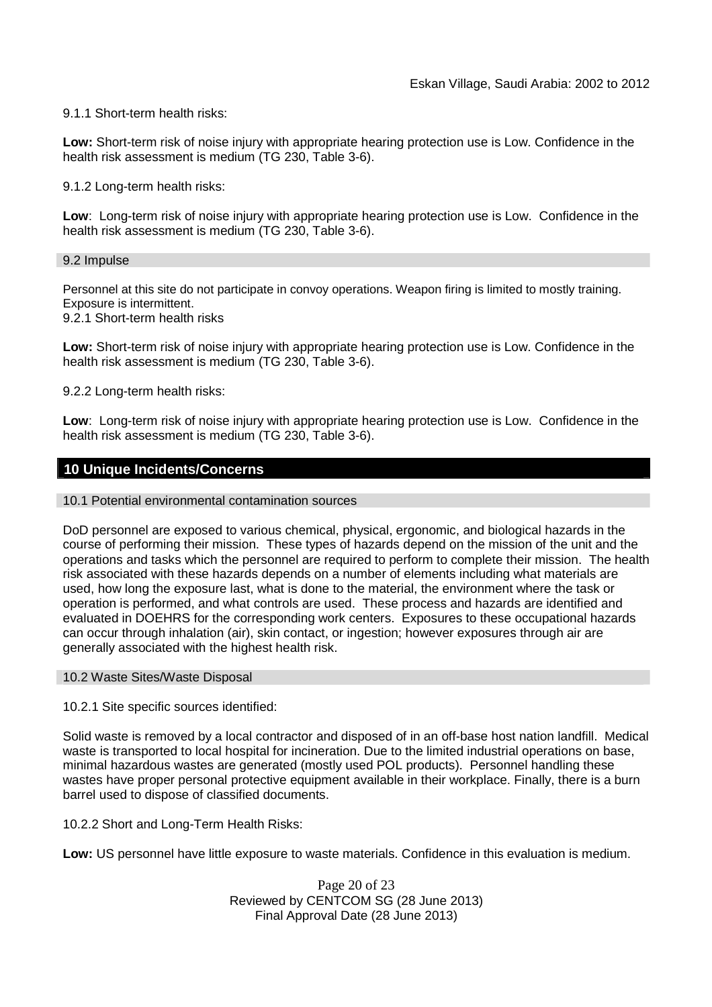## 9.1.1 Short-term health risks:

**Low:** Short-term risk of noise injury with appropriate hearing protection use is Low. Confidence in the health risk assessment is medium (TG 230, Table 3-6).

9.1.2 Long-term health risks:

**Low**: Long-term risk of noise injury with appropriate hearing protection use is Low. Confidence in the health risk assessment is medium (TG 230, Table 3-6).

#### 9.2 Impulse

Personnel at this site do not participate in convoy operations. Weapon firing is limited to mostly training. Exposure is intermittent.

9.2.1 Short-term health risks

**Low:** Short-term risk of noise injury with appropriate hearing protection use is Low. Confidence in the health risk assessment is medium (TG 230, Table 3-6).

9.2.2 Long-term health risks:

**Low**: Long-term risk of noise injury with appropriate hearing protection use is Low. Confidence in the health risk assessment is medium (TG 230, Table 3-6).

## **10 Unique Incidents/Concerns**

#### 10.1 Potential environmental contamination sources

DoD personnel are exposed to various chemical, physical, ergonomic, and biological hazards in the course of performing their mission. These types of hazards depend on the mission of the unit and the operations and tasks which the personnel are required to perform to complete their mission. The health risk associated with these hazards depends on a number of elements including what materials are used, how long the exposure last, what is done to the material, the environment where the task or operation is performed, and what controls are used. These process and hazards are identified and evaluated in DOEHRS for the corresponding work centers. Exposures to these occupational hazards can occur through inhalation (air), skin contact, or ingestion; however exposures through air are generally associated with the highest health risk.

#### 10.2 Waste Sites/Waste Disposal

10.2.1 Site specific sources identified:

Solid waste is removed by a local contractor and disposed of in an off-base host nation landfill. Medical waste is transported to local hospital for incineration. Due to the limited industrial operations on base, minimal hazardous wastes are generated (mostly used POL products). Personnel handling these wastes have proper personal protective equipment available in their workplace. Finally, there is a burn barrel used to dispose of classified documents.

10.2.2 Short and Long-Term Health Risks:

**Low:** US personnel have little exposure to waste materials. Confidence in this evaluation is medium.

Page 20 of 23 Reviewed by CENTCOM SG (28 June 2013) Final Approval Date (28 June 2013)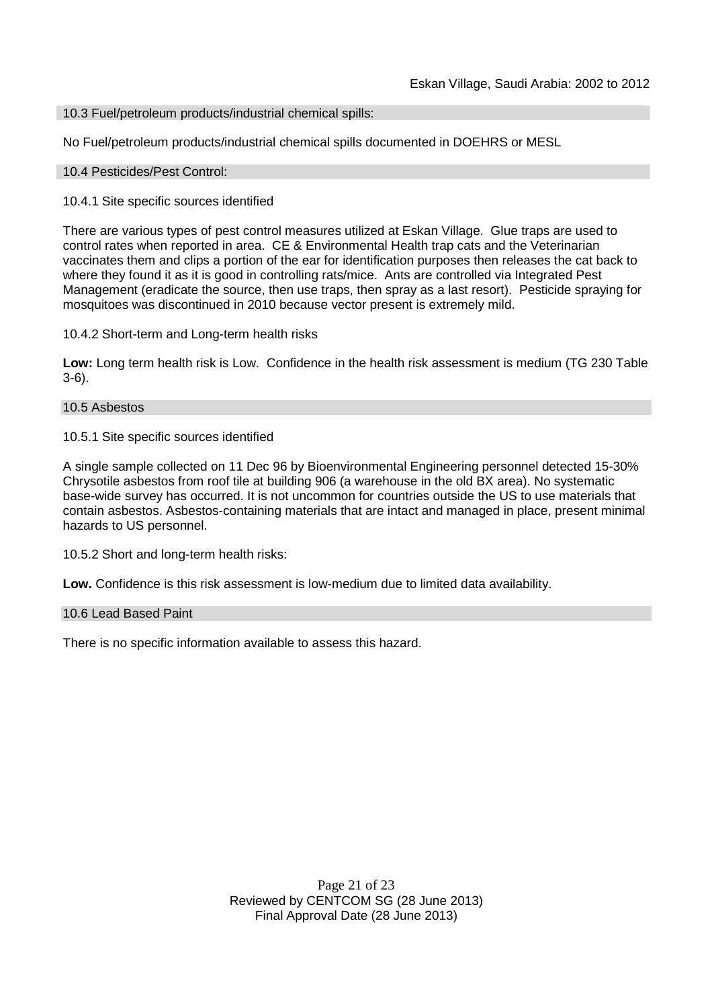10.3 Fuel/petroleum products/industrial chemical spills:

No Fuel/petroleum products/industrial chemical spills documented in DOEHRS or MESL

#### 10.4 Pesticides/Pest Control:

#### 10.4.1 Site specific sources identified

There are various types of pest control measures utilized at Eskan Village. Glue traps are used to control rates when reported in area. CE & Environmental Health trap cats and the Veterinarian vaccinates them and clips a portion of the ear for identification purposes then releases the cat back to where they found it as it is good in controlling rats/mice. Ants are controlled via Integrated Pest Management (eradicate the source, then use traps, then spray as a last resort). Pesticide spraying for mosquitoes was discontinued in 2010 because vector present is extremely mild.

10.4.2 Short-term and Long-term health risks

**Low:** Long term health risk is Low. Confidence in the health risk assessment is medium (TG 230 Table 3-6).

#### 10.5 Asbestos

10.5.1 Site specific sources identified

A single sample collected on 11 Dec 96 by Bioenvironmental Engineering personnel detected 15-30% Chrysotile asbestos from roof tile at building 906 (a warehouse in the old BX area). No systematic base-wide survey has occurred. It is not uncommon for countries outside the US to use materials that contain asbestos. Asbestos-containing materials that are intact and managed in place, present minimal hazards to US personnel.

10.5.2 Short and long-term health risks:

**Low.** Confidence is this risk assessment is low-medium due to limited data availability.

#### 10.6 Lead Based Paint

There is no specific information available to assess this hazard.

Page 21 of 23 Reviewed by CENTCOM SG (28 June 2013) Final Approval Date (28 June 2013)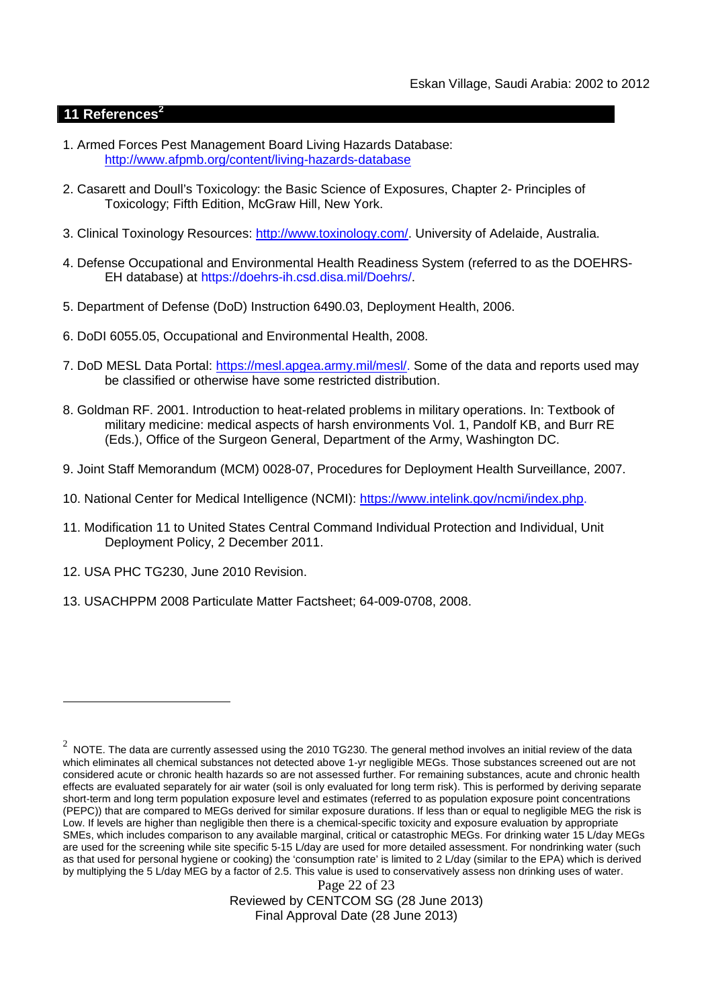# **11 References<sup>2</sup>**

- 1. Armed Forces Pest Management Board Living Hazards Database: http://www.afpmb.org/content/living-hazards-database
- 2. Casarett and Doull's Toxicology: the Basic Science of Exposures, Chapter 2- Principles of Toxicology; Fifth Edition, McGraw Hill, New York.
- 3. Clinical Toxinology Resources: http://www.toxinology.com/. University of Adelaide, Australia.
- 4. Defense Occupational and Environmental Health Readiness System (referred to as the DOEHRS-EH database) at https://doehrs-ih.csd.disa.mil/Doehrs/.
- 5. Department of Defense (DoD) Instruction 6490.03, Deployment Health, 2006.
- 6. DoDI 6055.05, Occupational and Environmental Health, 2008.
- 7. DoD MESL Data Portal: https://mesl.apgea.army.mil/mesl/. Some of the data and reports used may be classified or otherwise have some restricted distribution.
- 8. Goldman RF. 2001. Introduction to heat-related problems in military operations. In: Textbook of military medicine: medical aspects of harsh environments Vol. 1, Pandolf KB, and Burr RE (Eds.), Office of the Surgeon General, Department of the Army, Washington DC.
- 9. Joint Staff Memorandum (MCM) 0028-07, Procedures for Deployment Health Surveillance, 2007.
- 10. National Center for Medical Intelligence (NCMI): https://www.intelink.gov/ncmi/index.php.
- 11. Modification 11 to United States Central Command Individual Protection and Individual, Unit Deployment Policy, 2 December 2011.
- 12. USA PHC TG230, June 2010 Revision.
- 13. USACHPPM 2008 Particulate Matter Factsheet; 64-009-0708, 2008.

Page 22 of 23 Reviewed by CENTCOM SG (28 June 2013) Final Approval Date (28 June 2013)

 $^2$  NOTE. The data are currently assessed using the 2010 TG230. The general method involves an initial review of the data which eliminates all chemical substances not detected above 1-yr negligible MEGs. Those substances screened out are not considered acute or chronic health hazards so are not assessed further. For remaining substances, acute and chronic health effects are evaluated separately for air water (soil is only evaluated for long term risk). This is performed by deriving separate short-term and long term population exposure level and estimates (referred to as population exposure point concentrations (PEPC)) that are compared to MEGs derived for similar exposure durations. If less than or equal to negligible MEG the risk is Low. If levels are higher than negligible then there is a chemical-specific toxicity and exposure evaluation by appropriate SMEs, which includes comparison to any available marginal, critical or catastrophic MEGs. For drinking water 15 L/day MEGs are used for the screening while site specific 5-15 L/day are used for more detailed assessment. For nondrinking water (such as that used for personal hygiene or cooking) the 'consumption rate' is limited to 2 L/day (similar to the EPA) which is derived by multiplying the 5 L/day MEG by a factor of 2.5. This value is used to conservatively assess non drinking uses of water.